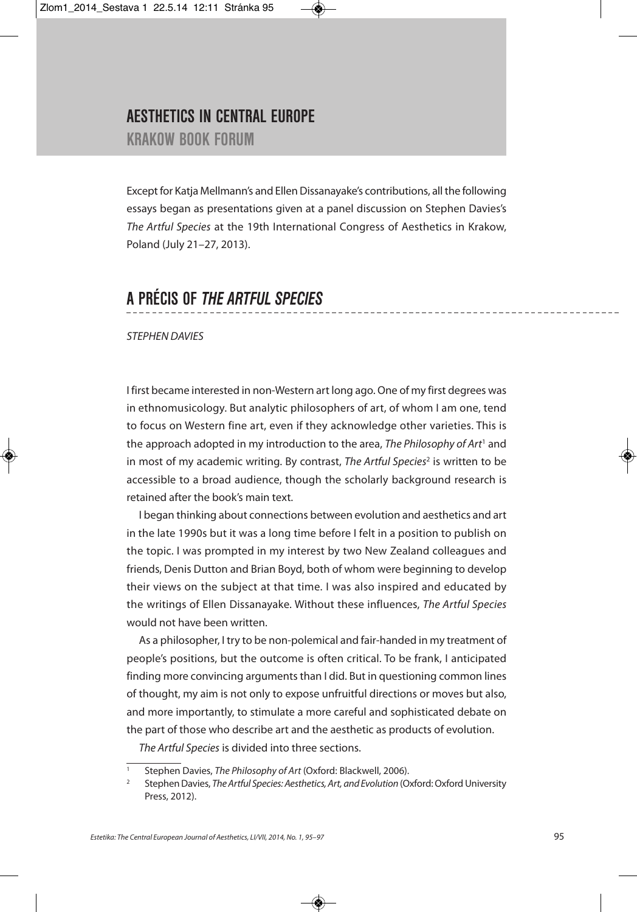## **AESTHETICS IN CENTRAL EUROPE KRAKOW BOOK FORUM**

Except for Katja Mellmann's and Ellen Dissanayake's contributions, all the following essays began as presentations given at a panel discussion on Stephen Davies's The Artful Species at the 19th International Congress of Aesthetics in Krakow, Poland (July 21–27, 2013).

# **A PRÉCIS OF** *THE ARTFUL SPECIES*

STEPHEN DAVIES

I first became interested in non-Western art long ago. One of my first degrees was in ethnomusicology. But analytic philosophers of art, of whom I am one, tend to focus on Western fine art, even if they acknowledge other varieties. This is the approach adopted in my introduction to the area, The Philosophy of Art<sup>1</sup> and in most of my academic writing. By contrast, The Artful Species<sup>2</sup> is written to be accessible to a broad audience, though the scholarly background research is retained after the book's main text.

I began thinking about connections between evolution and aesthetics and art in the late 1990s but it was a long time before I felt in a position to publish on the topic. I was prompted in my interest by two New Zealand colleagues and friends, Denis Dutton and Brian Boyd, both of whom were beginning to develop their views on the subject at that time. I was also inspired and educated by the writings of Ellen Dissanayake. Without these influences, The Artful Species would not have been written.

As a philosopher, I try to be non-polemical and fair-handed in my treatment of people's positions, but the outcome is often critical. To be frank, I anticipated finding more convincing arguments than I did. But in questioning common lines of thought, my aim is not only to expose unfruitful directions or moves but also, and more importantly, to stimulate a more careful and sophisticated debate on the part of those who describe art and the aesthetic as products of evolution.

The Artful Species is divided into three sections.

Stephen Davies, The Philosophy of Art (Oxford: Blackwell, 2006).

Stephen Davies, The Artful Species: Aesthetics, Art, and Evolution (Oxford: Oxford University Press, 2012).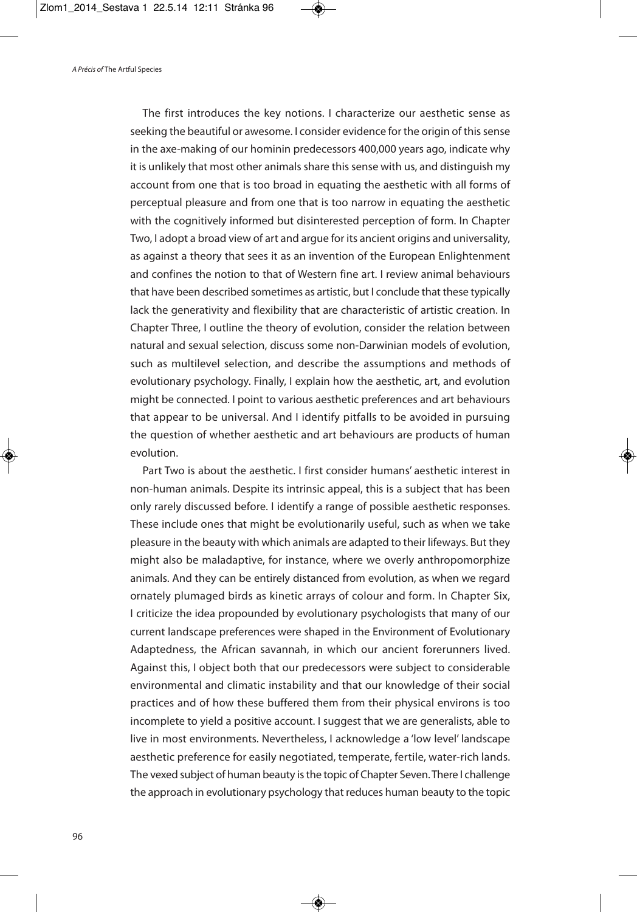The first introduces the key notions. I characterize our aesthetic sense as seeking the beautiful or awesome. I consider evidence for the origin of this sense in the axe-making of our hominin predecessors 400,000 years ago, indicate why it is unlikely that most other animals share this sense with us, and distinguish my account from one that is too broad in equating the aesthetic with all forms of perceptual pleasure and from one that is too narrow in equating the aesthetic with the cognitively informed but disinterested perception of form. In Chapter Two, I adopt a broad view of art and argue for its ancient origins and universality, as against a theory that sees it as an invention of the European Enlightenment and confines the notion to that of Western fine art. I review animal behaviours that have been described sometimes as artistic, but I conclude that these typically lack the generativity and flexibility that are characteristic of artistic creation. In Chapter Three, I outline the theory of evolution, consider the relation between natural and sexual selection, discuss some non-Darwinian models of evolution, such as multilevel selection, and describe the assumptions and methods of evolutionary psychology. Finally, I explain how the aesthetic, art, and evolution might be connected. I point to various aesthetic preferences and art behaviours that appear to be universal. And I identify pitfalls to be avoided in pursuing the question of whether aesthetic and art behaviours are products of human evolution.

Part Two is about the aesthetic. I first consider humans' aesthetic interest in non-human animals. Despite its intrinsic appeal, this is a subject that has been only rarely discussed before. I identify a range of possible aesthetic responses. These include ones that might be evolutionarily useful, such as when we take pleasure in the beauty with which animals are adapted to their lifeways. But they might also be maladaptive, for instance, where we overly anthropomorphize animals. And they can be entirely distanced from evolution, as when we regard ornately plumaged birds as kinetic arrays of colour and form. In Chapter Six, I criticize the idea propounded by evolutionary psychologists that many of our current landscape preferences were shaped in the Environment of Evolutionary Adaptedness, the African savannah, in which our ancient forerunners lived. Against this, I object both that our predecessors were subject to considerable environmental and climatic instability and that our knowledge of their social practices and of how these buffered them from their physical environs is too incomplete to yield a positive account. I suggest that we are generalists, able to live in most environments. Nevertheless, I acknowledge a 'low level' landscape aesthetic preference for easily negotiated, temperate, fertile, water-rich lands. The vexed subject of human beauty isthe topic of Chapter Seven.There I challenge the approach in evolutionary psychology that reduces human beauty to the topic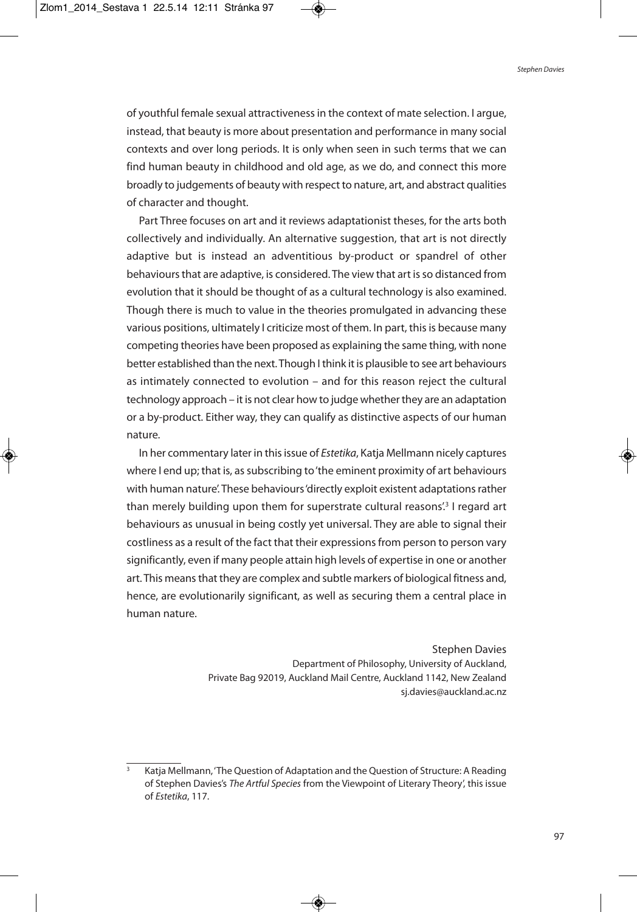of youthful female sexual attractivenessin the context of mate selection. I argue, instead, that beauty is more about presentation and performance in many social contexts and over long periods. It is only when seen in such terms that we can find human beauty in childhood and old age, as we do, and connect this more broadly to judgements of beauty with respect to nature, art, and abstract qualities of character and thought.

Part Three focuses on art and it reviews adaptationist theses, for the arts both collectively and individually. An alternative suggestion, that art is not directly adaptive but is instead an adventitious by-product or spandrel of other behaviours that are adaptive, is considered. The view that art is so distanced from evolution that it should be thought of as a cultural technology is also examined. Though there is much to value in the theories promulgated in advancing these various positions, ultimately I criticize most of them. In part, this is because many competing theories have been proposed as explaining the same thing, with none better established than the next. Though I think it is plausible to see art behaviours as intimately connected to evolution – and for this reason reject the cultural technology approach – it is not clear how to judge whether they are an adaptation or a by-product. Either way, they can qualify as distinctive aspects of our human nature.

In her commentary later in this issue of *Estetika*, Katja Mellmann nicely captures where I end up; that is, as subscribing to 'the eminent proximity of art behaviours with human nature'. These behaviours'directly exploit existent adaptationsrather than merely building upon them for superstrate cultural reasons<sup>'3</sup> I regard art behaviours as unusual in being costly yet universal. They are able to signal their costliness as a result of the fact that their expressions from person to person vary significantly, even if many people attain high levels of expertise in one or another art. This means that they are complex and subtle markers of biological fitness and, hence, are evolutionarily significant, as well as securing them a central place in human nature.

> Stephen Davies Department of Philosophy, University of Auckland, Private Bag 92019, Auckland Mail Centre, Auckland 1142, New Zealand sj.davies@auckland.ac.nz

<sup>3</sup> Katja Mellmann,'The Question of Adaptation and the Question of Structure: A Reading of Stephen Davies's The Artful Species from the Viewpoint of Literary Theory', this issue of Estetika, 117.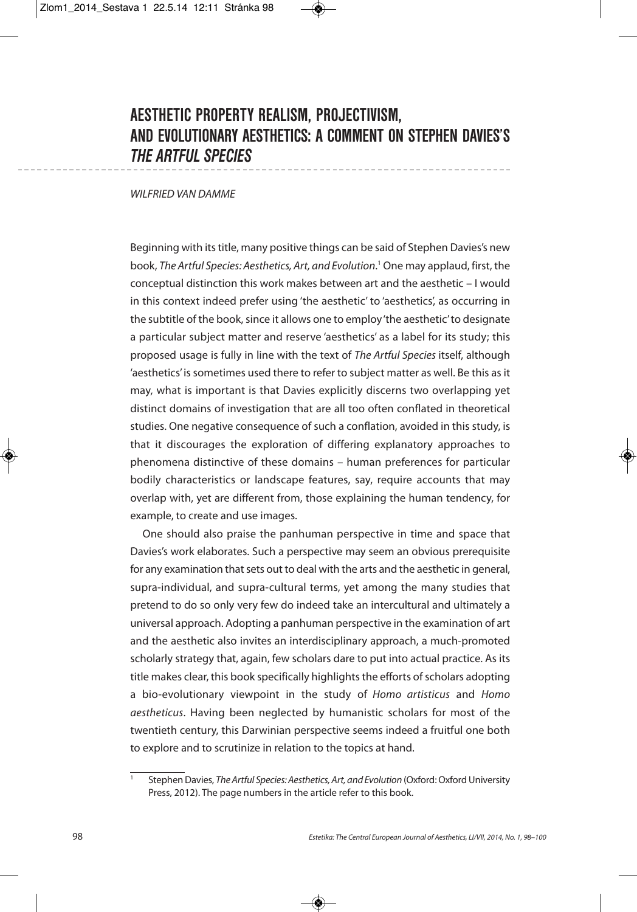# **AESTHETIC PROPERTY REALISM, PROJECTIVISM, AND EVOLUTIONARY AESTHETICS: A COMMENT ON STEPHEN DAVIES'S** *THE ARTFUL SPECIES*

### WILFRIED VAN DAMME

Beginning with its title, many positive things can be said of Stephen Davies's new book, The Artful Species: Aesthetics, Art, and Evolution. <sup>1</sup> One may applaud, first, the conceptual distinction this work makes between art and the aesthetic – I would in this context indeed prefer using 'the aesthetic' to 'aesthetics', as occurring in the subtitle of the book, since it allows one to employ'the aesthetic' to designate a particular subject matter and reserve 'aesthetics' as a label for its study; this proposed usage is fully in line with the text of The Artful Species itself, although 'aesthetics' is sometimes used there to refer to subject matter as well. Be this as it may, what is important is that Davies explicitly discerns two overlapping yet distinct domains of investigation that are all too often conflated in theoretical studies. One negative consequence of such a conflation, avoided in this study, is that it discourages the exploration of differing explanatory approaches to phenomena distinctive of these domains – human preferences for particular bodily characteristics or landscape features, say, require accounts that may overlap with, yet are different from, those explaining the human tendency, for example, to create and use images.

One should also praise the panhuman perspective in time and space that Davies's work elaborates. Such a perspective may seem an obvious prerequisite for any examination that sets out to deal with the arts and the aesthetic in general, supra-individual, and supra-cultural terms, yet among the many studies that pretend to do so only very few do indeed take an intercultural and ultimately a universal approach. Adopting a panhuman perspective in the examination of art and the aesthetic also invites an interdisciplinary approach, a much-promoted scholarly strategy that, again, few scholars dare to put into actual practice. As its title makes clear, this book specifically highlights the efforts of scholars adopting a bio-evolutionary viewpoint in the study of Homo artisticus and Homo aestheticus. Having been neglected by humanistic scholars for most of the twentieth century, this Darwinian perspective seems indeed a fruitful one both to explore and to scrutinize in relation to the topics at hand.

Stephen Davies, The Artful Species: Aesthetics, Art, and Evolution (Oxford: Oxford University Press, 2012). The page numbers in the article refer to this book.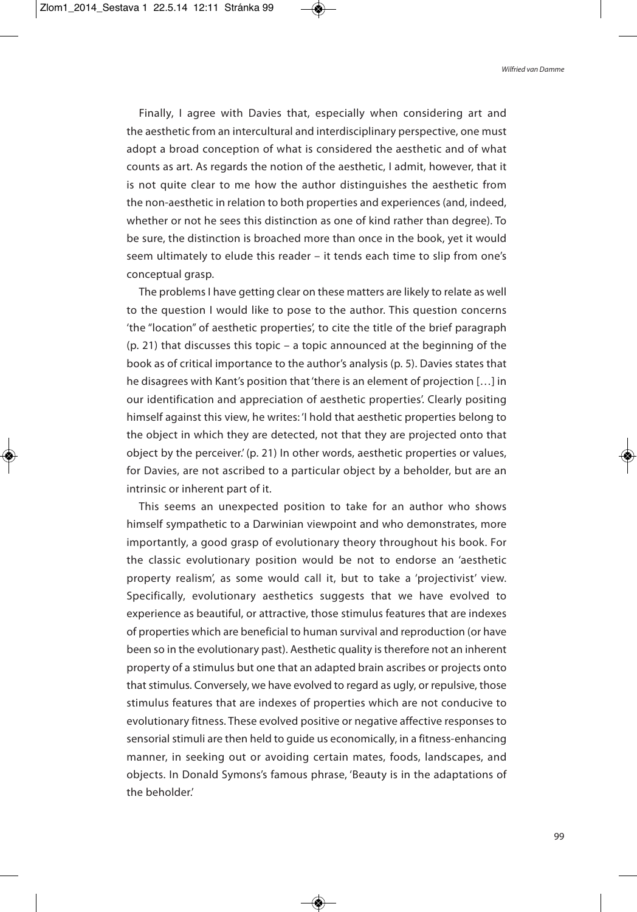Finally, I agree with Davies that, especially when considering art and the aesthetic from an intercultural and interdisciplinary perspective, one must adopt a broad conception of what is considered the aesthetic and of what counts as art. As regards the notion of the aesthetic, I admit, however, that it is not quite clear to me how the author distinguishes the aesthetic from the non-aesthetic in relation to both properties and experiences (and, indeed, whether or not he sees this distinction as one of kind rather than degree). To be sure, the distinction is broached more than once in the book, yet it would seem ultimately to elude this reader – it tends each time to slip from one's conceptual grasp.

The problems I have getting clear on these matters are likely to relate as well to the question I would like to pose to the author. This question concerns 'the "location" of aesthetic properties', to cite the title of the brief paragraph (p. 21) that discusses this topic – a topic announced at the beginning of the book as of critical importance to the author's analysis (p. 5). Davies states that he disagrees with Kant's position that'there is an element of projection […] in our identification and appreciation of aesthetic properties'. Clearly positing himself against this view, he writes: 'I hold that aesthetic properties belong to the object in which they are detected, not that they are projected onto that object by the perceiver.' (p. 21) In other words, aesthetic properties or values, for Davies, are not ascribed to a particular object by a beholder, but are an intrinsic or inherent part of it.

This seems an unexpected position to take for an author who shows himself sympathetic to a Darwinian viewpoint and who demonstrates, more importantly, a good grasp of evolutionary theory throughout his book. For the classic evolutionary position would be not to endorse an 'aesthetic property realism', as some would call it, but to take a 'projectivist' view. Specifically, evolutionary aesthetics suggests that we have evolved to experience as beautiful, or attractive, those stimulus features that are indexes of properties which are beneficial to human survival and reproduction (or have been so in the evolutionary past). Aesthetic quality is therefore not an inherent property of a stimulus but one that an adapted brain ascribes or projects onto that stimulus. Conversely, we have evolved to regard as ugly, or repulsive, those stimulus features that are indexes of properties which are not conducive to evolutionary fitness. These evolved positive or negative affective responses to sensorial stimuli are then held to guide us economically, in a fitness-enhancing manner, in seeking out or avoiding certain mates, foods, landscapes, and objects. In Donald Symons's famous phrase, 'Beauty is in the adaptations of the beholder.'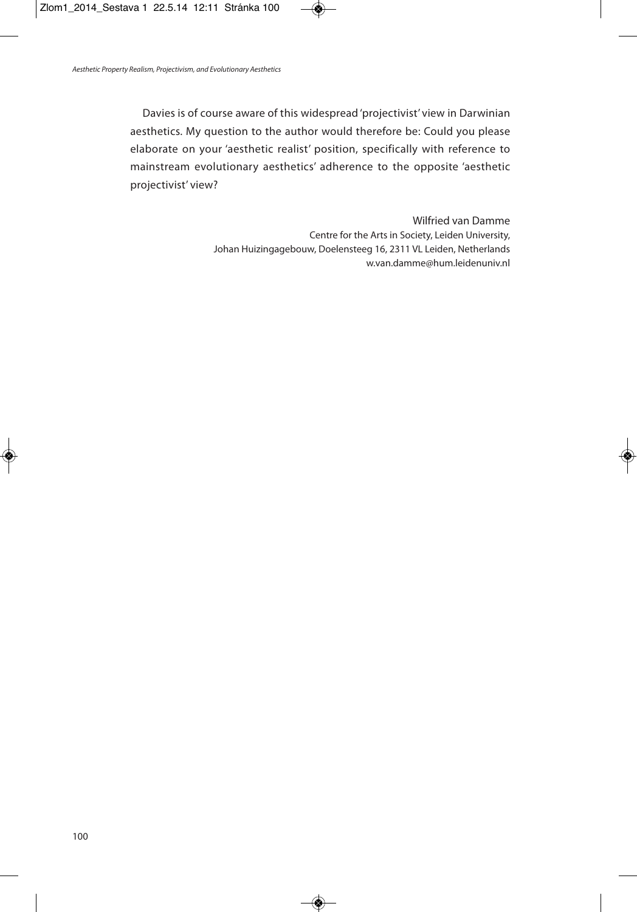Davies is of course aware of this widespread 'projectivist' view in Darwinian aesthetics. My question to the author would therefore be: Could you please elaborate on your 'aesthetic realist' position, specifically with reference to mainstream evolutionary aesthetics' adherence to the opposite 'aesthetic projectivist' view?

> Wilfried van Damme Centre for the Arts in Society, Leiden University, Johan Huizingagebouw, Doelensteeg 16, 2311 VL Leiden, Netherlands w.van.damme@hum.leidenuniv.nl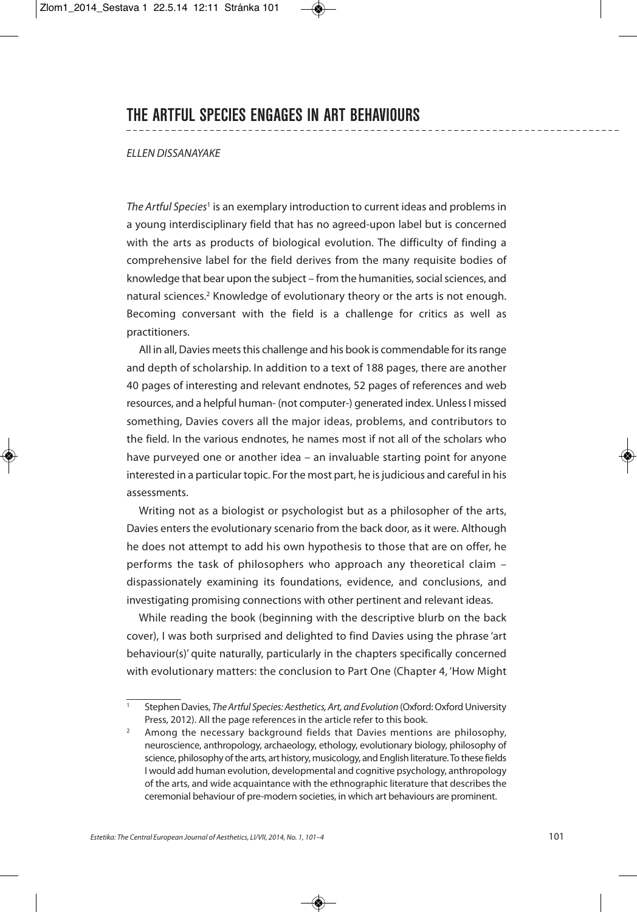## **THE ARTFUL SPECIES ENGAGES IN ART BEHAVIOURS**

### ELLEN DISSANAYAKE

The Artful Species<sup>1</sup> is an exemplary introduction to current ideas and problems in a young interdisciplinary field that has no agreed-upon label but is concerned with the arts as products of biological evolution. The difficulty of finding a comprehensive label for the field derives from the many requisite bodies of knowledge that bear upon the subject – from the humanities, social sciences, and natural sciences. <sup>2</sup> Knowledge of evolutionary theory or the arts is not enough. Becoming conversant with the field is a challenge for critics as well as practitioners.

All in all, Davies meets this challenge and his book is commendable for its range and depth of scholarship. In addition to a text of 188 pages, there are another 40 pages of interesting and relevant endnotes, 52 pages of references and web resources, and a helpful human- (not computer-) generated index. Unless I missed something, Davies covers all the major ideas, problems, and contributors to the field. In the various endnotes, he names most if not all of the scholars who have purveyed one or another idea – an invaluable starting point for anyone interested in a particular topic. For the most part, he is judicious and careful in his assessments.

Writing not as a biologist or psychologist but as a philosopher of the arts, Davies enters the evolutionary scenario from the back door, as it were. Although he does not attempt to add his own hypothesis to those that are on offer, he performs the task of philosophers who approach any theoretical claim – dispassionately examining its foundations, evidence, and conclusions, and investigating promising connections with other pertinent and relevant ideas.

While reading the book (beginning with the descriptive blurb on the back cover), I was both surprised and delighted to find Davies using the phrase 'art behaviour(s)' quite naturally, particularly in the chapters specifically concerned with evolutionary matters: the conclusion to Part One (Chapter 4, 'How Might

Stephen Davies, The Artful Species: Aesthetics, Art, and Evolution (Oxford: Oxford University Press, 2012). All the page references in the article refer to this book.

<sup>&</sup>lt;sup>2</sup> Among the necessary background fields that Davies mentions are philosophy, neuroscience, anthropology, archaeology, ethology, evolutionary biology, philosophy of science, philosophy of the arts, art history, musicology, and English literature. To these fields I would add human evolution, developmental and cognitive psychology, anthropology of the arts, and wide acquaintance with the ethnographic literature that describes the ceremonial behaviour of pre-modern societies, in which art behaviours are prominent.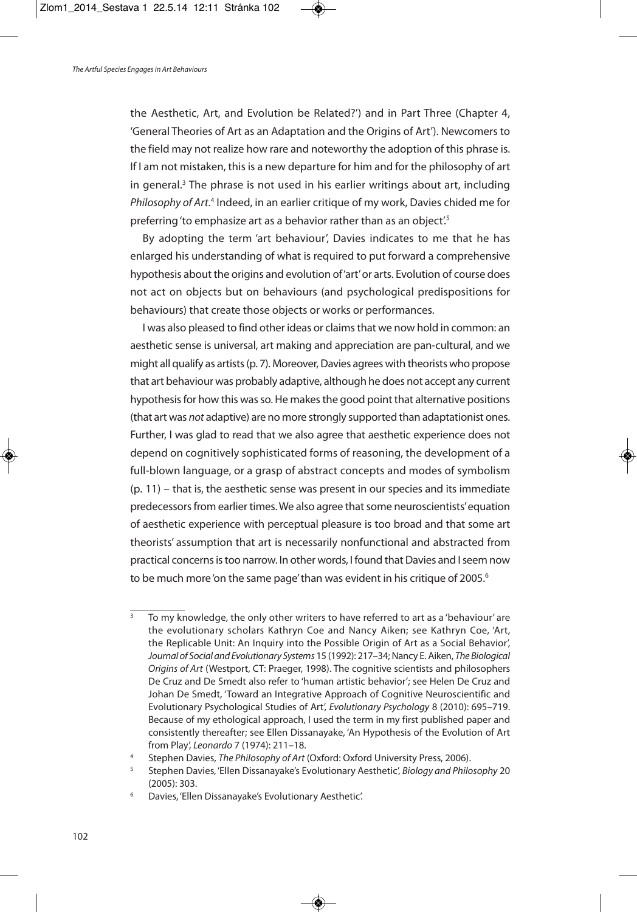the Aesthetic, Art, and Evolution be Related?') and in Part Three (Chapter 4, 'General Theories of Art as an Adaptation and the Origins of Art'). Newcomers to the field may not realize how rare and noteworthy the adoption of this phrase is. If I am not mistaken, this is a new departure for him and for the philosophy of art in general. <sup>3</sup> The phrase is not used in his earlier writings about art, including Philosophy of Art.<sup>4</sup> Indeed, in an earlier critique of my work, Davies chided me for preferring 'to emphasize art as a behavior rather than as an object'.<sup>5</sup>

By adopting the term 'art behaviour', Davies indicates to me that he has enlarged his understanding of what is required to put forward a comprehensive hypothesis about the origins and evolution of'art'or arts. Evolution of course does not act on objects but on behaviours (and psychological predispositions for behaviours) that create those objects or works or performances.

I was also pleased to find other ideas or claims that we now hold in common: an aesthetic sense is universal, art making and appreciation are pan-cultural, and we might all qualify as artists (p. 7). Moreover, Davies agrees with theorists who propose that art behaviour was probably adaptive, although he does not accept any current hypothesis for how this was so. He makes the good point that alternative positions (that art was not adaptive) are no more strongly supported than adaptationist ones. Further, I was glad to read that we also agree that aesthetic experience does not depend on cognitively sophisticated forms of reasoning, the development of a full-blown language, or a grasp of abstract concepts and modes of symbolism (p. 11) – that is, the aesthetic sense was present in our species and its immediate predecessors from earlier times. We also agree that some neuroscientists' equation of aesthetic experience with perceptual pleasure is too broad and that some art theorists' assumption that art is necessarily nonfunctional and abstracted from practical concerns is too narrow. In other words, I found that Davies and I seem now to be much more 'on the same page' than was evident in his critique of 2005. $^{\rm 6}$ 

To my knowledge, the only other writers to have referred to art as a 'behaviour' are the evolutionary scholars Kathryn Coe and Nancy Aiken; see Kathryn Coe, 'Art, the Replicable Unit: An Inquiry into the Possible Origin of Art as a Social Behavior', Journal of Social and Evolutionary Systems 15 (1992): 217-34; Nancy E. Aiken, The Biological Origins of Art (Westport, CT: Praeger, 1998). The cognitive scientists and philosophers De Cruz and De Smedt also refer to 'human artistic behavior'; see Helen De Cruz and Johan De Smedt, 'Toward an Integrative Approach of Cognitive Neuroscientific and Evolutionary Psychological Studies of Art', Evolutionary Psychology 8 (2010): 695–719. Because of my ethological approach, I used the term in my first published paper and consistently thereafter; see Ellen Dissanayake, 'An Hypothesis of the Evolution of Art from Play', Leonardo 7 (1974): 211–18.

Stephen Davies, The Philosophy of Art (Oxford: Oxford University Press, 2006).

<sup>5</sup> Stephen Davies, 'Ellen Dissanayake's Evolutionary Aesthetic', Biology and Philosophy 20 (2005): 303.

<sup>6</sup> Davies, 'Ellen Dissanayake's Evolutionary Aesthetic'.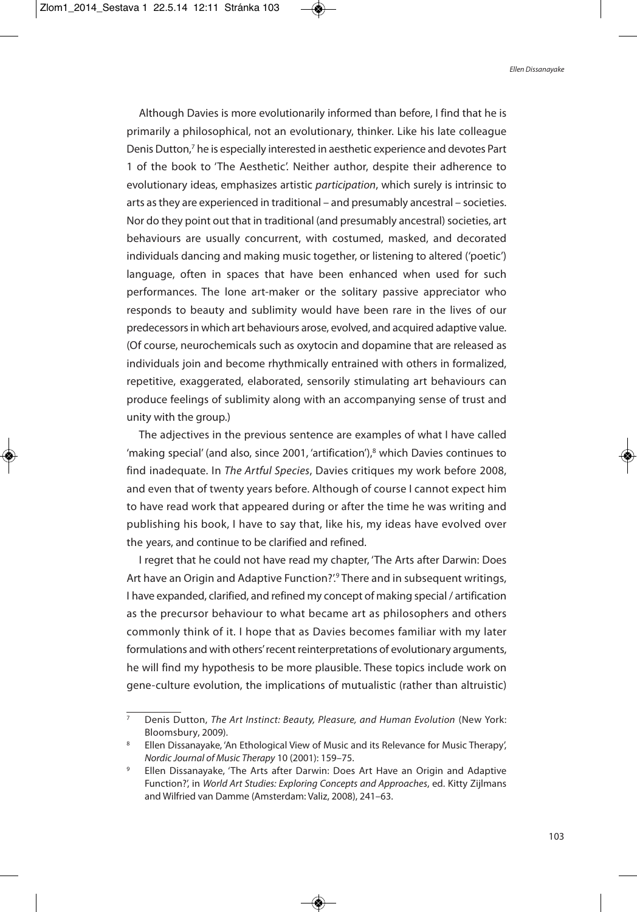Although Davies is more evolutionarily informed than before, I find that he is primarily a philosophical, not an evolutionary, thinker. Like his late colleague Denis Dutton, <sup>7</sup> he is especially interested in aesthetic experience and devotes Part 1 of the book to 'The Aesthetic'. Neither author, despite their adherence to evolutionary ideas, emphasizes artistic participation, which surely is intrinsic to arts asthey are experienced in traditional – and presumably ancestral – societies. Nor do they point out that in traditional (and presumably ancestral) societies, art behaviours are usually concurrent, with costumed, masked, and decorated individuals dancing and making music together, or listening to altered ('poetic') language, often in spaces that have been enhanced when used for such performances. The lone art-maker or the solitary passive appreciator who responds to beauty and sublimity would have been rare in the lives of our predecessors in which art behaviours arose, evolved, and acquired adaptive value. (Of course, neurochemicals such as oxytocin and dopamine that are released as individuals join and become rhythmically entrained with others in formalized, repetitive, exaggerated, elaborated, sensorily stimulating art behaviours can produce feelings of sublimity along with an accompanying sense of trust and unity with the group.)

The adjectives in the previous sentence are examples of what I have called 'making special' (and also, since 2001, 'artification'), <sup>8</sup> which Davies continues to find inadequate. In The Artful Species, Davies critiques my work before 2008, and even that of twenty years before. Although of course I cannot expect him to have read work that appeared during or after the time he was writing and publishing his book, I have to say that, like his, my ideas have evolved over the years, and continue to be clarified and refined.

I regret that he could not have read my chapter, 'The Arts after Darwin: Does Art have an Origin and Adaptive Function?'. <sup>9</sup> There and in subsequent writings, I have expanded, clarified, and refined my concept of making special / artification as the precursor behaviour to what became art as philosophers and others commonly think of it. I hope that as Davies becomes familiar with my later formulations and with others' recent reinterpretations of evolutionary arguments, he will find my hypothesis to be more plausible. These topics include work on gene-culture evolution, the implications of mutualistic (rather than altruistic)

 $\overline{7}$  Denis Dutton, The Art Instinct: Beauty, Pleasure, and Human Evolution (New York: Bloomsbury, 2009).

Ellen Dissanayake, 'An Ethological View of Music and its Relevance for Music Therapy', Nordic Journal of Music Therapy 10 (2001): 159–75.

<sup>9</sup> Ellen Dissanayake, 'The Arts after Darwin: Does Art Have an Origin and Adaptive Function?', in World Art Studies: Exploring Concepts and Approaches, ed. Kitty Zijlmans and Wilfried van Damme (Amsterdam: Valiz, 2008), 241–63.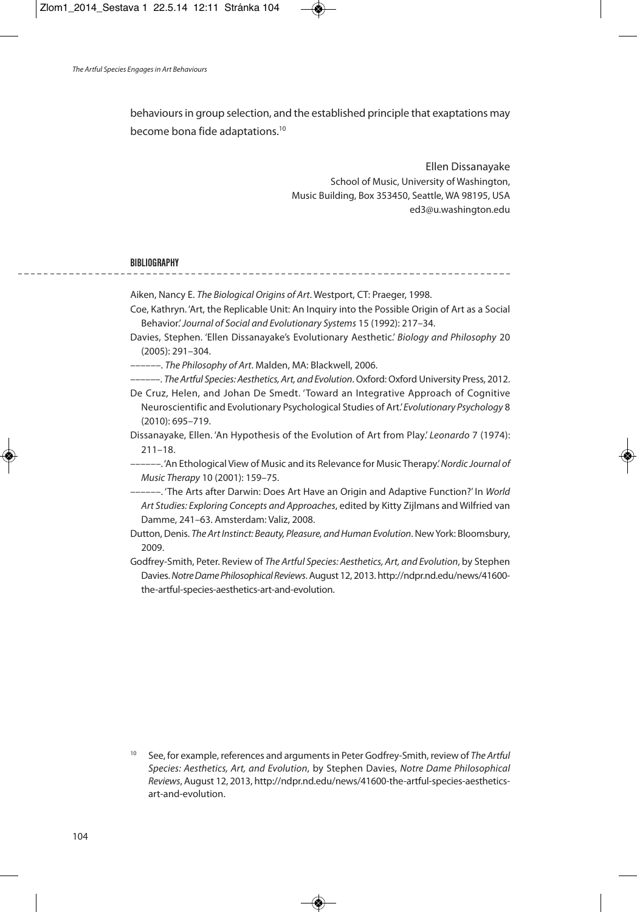behaviours in group selection, and the established principle that exaptations may become bona fide adaptations.<sup>10</sup>

> Ellen Dissanayake School of Music, University of Washington, Music Building, Box 353450, Seattle, WA 98195, USA ed3@u.washington.edu

> > --------------

#### **BIBLIOGRAPHY**

Aiken, Nancy E. The Biological Origins of Art. Westport, CT: Praeger, 1998. Coe, Kathryn. 'Art, the Replicable Unit: An Inquiry into the Possible Origin of Art as a Social Behavior.'Journal of Social and Evolutionary Systems 15 (1992): 217–34.

Davies, Stephen. 'Ellen Dissanayake's Evolutionary Aesthetic.' Biology and Philosophy 20 (2005): 291–304.

––––––. The Philosophy of Art. Malden, MA: Blackwell, 2006.

––––––. The Artful Species: Aesthetics, Art, and Evolution.Oxford:Oxford University Press, 2012.

De Cruz, Helen, and Johan De Smedt. 'Toward an Integrative Approach of Cognitive Neuroscientific and Evolutionary Psychological Studies of Art.'Evolutionary Psychology 8 (2010): 695–719.

Dissanayake, Ellen. 'An Hypothesis of the Evolution of Art from Play.' Leonardo 7 (1974): 211–18.

––––––.'An Ethological View of Music and its Relevance for Music Therapy.'Nordic Journal of Music Therapy 10 (2001): 159–75.

––––––. 'The Arts after Darwin: Does Art Have an Origin and Adaptive Function?' In World Art Studies: Exploring Concepts and Approaches, edited by Kitty Zijlmans and Wilfried van Damme, 241–63. Amsterdam: Valiz, 2008.

Dutton, Denis. The Art Instinct: Beauty, Pleasure, and Human Evolution. New York: Bloomsbury, 2009.

Godfrey-Smith, Peter. Review of The Artful Species: Aesthetics, Art, and Evolution, by Stephen Davies. Notre Dame Philosophical Reviews. August 12, 2013. http://ndpr.nd.edu/news/41600the-artful-species-aesthetics-art-and-evolution.

See, for example, references and arguments in Peter Godfrey-Smith, review of The Artful Species: Aesthetics, Art, and Evolution, by Stephen Davies, Notre Dame Philosophical Reviews, August 12, 2013, http://ndpr.nd.edu/news/41600-the-artful-species-aestheticsart-and-evolution.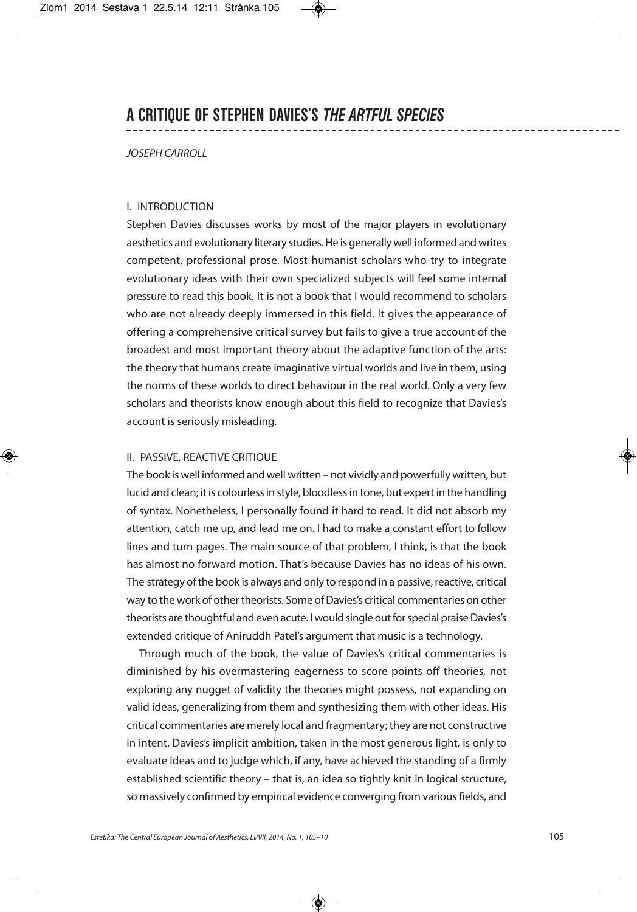## JOSEPH CARROLL

### I. INTRODUCTION

Stephen Davies discusses works by most of the major players in evolutionary aesthetics and evolutionary literary studies.He is generally well informed and writes competent, professional prose. Most humanist scholars who try to integrate evolutionary ideas with their own specialized subjects will feel some internal pressure to read this book. It is not a book that I would recommend to scholars who are not already deeply immersed in this field. It gives the appearance of offering a comprehensive critical survey but fails to give a true account of the broadest and most important theory about the adaptive function of the arts: the theory that humans create imaginative virtual worlds and live in them, using the norms of these worlds to direct behaviour in the real world. Only a very few scholars and theorists know enough about this field to recognize that Davies's account is seriously misleading.

## II. PASSIVE, REACTIVE CRITIQUE

The book is well informed and well written – not vividly and powerfully written, but lucid and clean; it is colourless in style, bloodless in tone, but expert in the handling of syntax. Nonetheless, I personally found it hard to read. It did not absorb my attention, catch me up, and lead me on. I had to make a constant effort to follow lines and turn pages. The main source of that problem, I think, is that the book has almost no forward motion. That's because Davies has no ideas of his own. The strategy of the book is always and only to respond in a passive, reactive, critical way to the work of other theorists. Some of Davies's critical commentaries on other theorists are thoughtful and even acute. I would single out for special praise Davies's extended critique of Aniruddh Patel's argument that music is a technology.

Through much of the book, the value of Davies's critical commentaries is diminished by his overmastering eagerness to score points off theories, not exploring any nugget of validity the theories might possess, not expanding on valid ideas, generalizing from them and synthesizing them with other ideas. His critical commentaries are merely local and fragmentary; they are not constructive in intent. Davies's implicit ambition, taken in the most generous light, is only to evaluate ideas and to judge which, if any, have achieved the standing of a firmly established scientific theory – that is, an idea so tightly knit in logical structure, so massively confirmed by empirical evidence converging from various fields, and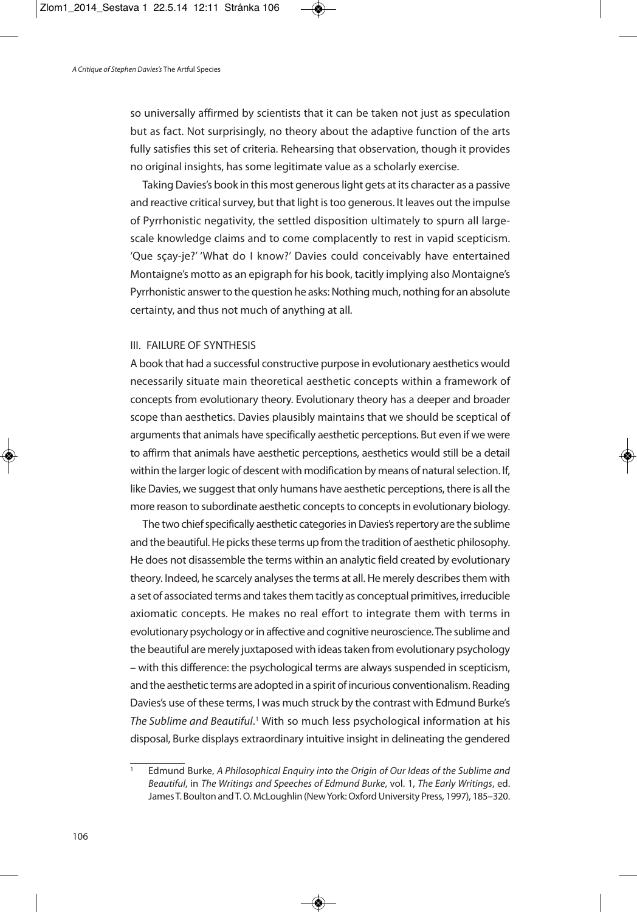so universally affirmed by scientists that it can be taken not just as speculation but as fact. Not surprisingly, no theory about the adaptive function of the arts fully satisfies this set of criteria. Rehearsing that observation, though it provides no original insights, has some legitimate value as a scholarly exercise.

Taking Davies's book in this most generous light gets at its character as a passive and reactive critical survey, but that light is too generous. It leaves out the impulse of Pyrrhonistic negativity, the settled disposition ultimately to spurn all largescale knowledge claims and to come complacently to rest in vapid scepticism. 'Que sçay-je?' 'What do I know?' Davies could conceivably have entertained Montaigne's motto as an epigraph for his book, tacitly implying also Montaigne's Pyrrhonistic answer to the question he asks: Nothing much, nothing for an absolute certainty, and thus not much of anything at all.

## III. FAILURE OF SYNTHESIS

A book that had a successful constructive purpose in evolutionary aesthetics would necessarily situate main theoretical aesthetic concepts within a framework of concepts from evolutionary theory. Evolutionary theory has a deeper and broader scope than aesthetics. Davies plausibly maintains that we should be sceptical of arguments that animals have specifically aesthetic perceptions. But even if we were to affirm that animals have aesthetic perceptions, aesthetics would still be a detail within the larger logic of descent with modification by means of natural selection. If, like Davies, we suggest that only humans have aesthetic perceptions, there is all the more reason to subordinate aesthetic concepts to concepts in evolutionary biology.

The two chief specifically aesthetic categories in Davies's repertory are the sublime and the beautiful. He picks these terms up from the tradition of aesthetic philosophy. He does not disassemble the terms within an analytic field created by evolutionary theory. Indeed, he scarcely analyses the terms at all. He merely describes them with a set of associated terms and takes them tacitly as conceptual primitives, irreducible axiomatic concepts. He makes no real effort to integrate them with terms in evolutionary psychology or in affective and cognitive neuroscience. The sublime and the beautiful are merely juxtaposed with ideas taken from evolutionary psychology – with this difference: the psychological terms are always suspended in scepticism, and the aesthetic terms are adopted in a spirit of incurious conventionalism. Reading Davies's use of these terms, I was much struck by the contrast with Edmund Burke's The Sublime and Beautiful.<sup>1</sup> With so much less psychological information at his disposal, Burke displays extraordinary intuitive insight in delineating the gendered

Edmund Burke, A Philosophical Enquiry into the Origin of Our Ideas of the Sublime and Beautiful, in The Writings and Speeches of Edmund Burke, vol. 1, The Early Writings, ed. James T. Boulton and T. O. McLoughlin (New York: Oxford University Press, 1997), 185-320.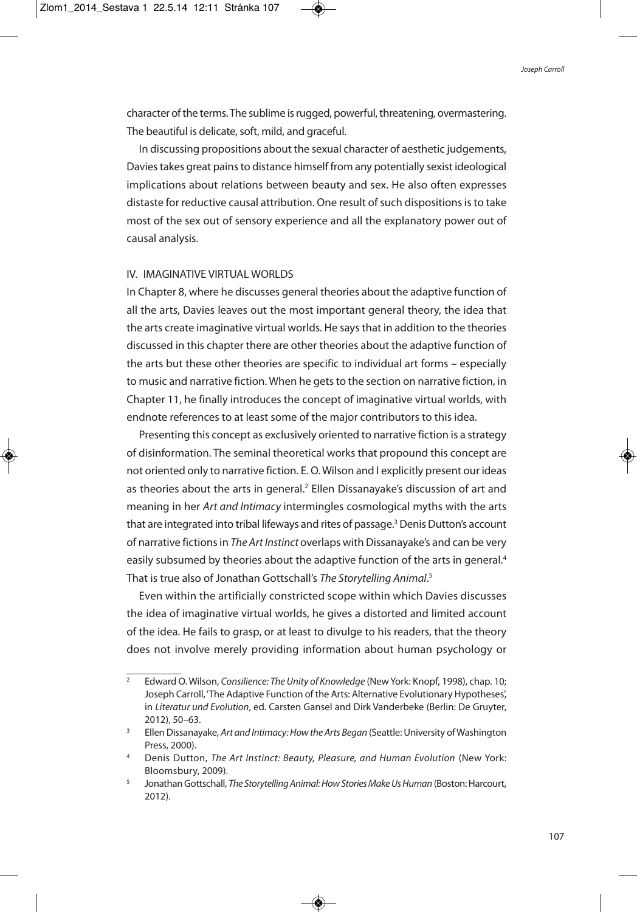character of the terms. The sublime is rugged, powerful, threatening, overmastering. The beautiful is delicate, soft, mild, and graceful.

In discussing propositions about the sexual character of aesthetic judgements, Davies takes great pains to distance himself from any potentially sexist ideological implications about relations between beauty and sex. He also often expresses distaste for reductive causal attribution. One result of such dispositions is to take most of the sex out of sensory experience and all the explanatory power out of causal analysis.

## IV. IMAGINATIVE VIRTUAL WORLDS

In Chapter 8, where he discusses general theories about the adaptive function of all the arts, Davies leaves out the most important general theory, the idea that the arts create imaginative virtual worlds. He saysthat in addition to the theories discussed in this chapter there are other theories about the adaptive function of the arts but these other theories are specific to individual art forms – especially to music and narrative fiction. When he gets to the section on narrative fiction, in Chapter 11, he finally introduces the concept of imaginative virtual worlds, with endnote references to at least some of the major contributors to this idea.

Presenting this concept as exclusively oriented to narrative fiction is a strategy of disinformation. The seminal theoretical works that propound this concept are not oriented only to narrative fiction. E. O.Wilson and I explicitly present our ideas as theories about the arts in general. <sup>2</sup> Ellen Dissanayake's discussion of art and meaning in her Art and Intimacy intermingles cosmological myths with the arts that are integrated into tribal lifeways and rites of passage.<sup>3</sup> Denis Dutton's account of narrative fictions in The Art Instinct overlaps with Dissanayake's and can be very easily subsumed by theories about the adaptive function of the arts in general.<sup>4</sup> That is true also of Jonathan Gottschall's The Storytelling Animal.<sup>5</sup>

Even within the artificially constricted scope within which Davies discusses the idea of imaginative virtual worlds, he gives a distorted and limited account of the idea. He fails to grasp, or at least to divulge to his readers, that the theory does not involve merely providing information about human psychology or

<sup>2</sup> Edward O. Wilson, Consilience: The Unity of Knowledge (NewYork: Knopf, 1998), chap. 10; Joseph Carroll,'The Adaptive Function of the Arts: Alternative Evolutionary Hypotheses', in Literatur und Evolution, ed. Carsten Gansel and Dirk Vanderbeke (Berlin: De Gruyter, 2012), 50–63.

<sup>&</sup>lt;sup>3</sup> Ellen Dissanayake, Art and Intimacy: How the Arts Began (Seattle: University of Washington Press, 2000).

Denis Dutton, The Art Instinct: Beauty, Pleasure, and Human Evolution (New York: Bloomsbury, 2009).

<sup>&</sup>lt;sup>5</sup> Jonathan Gottschall, The Storytelling Animal: How Stories Make Us Human (Boston: Harcourt, 2012).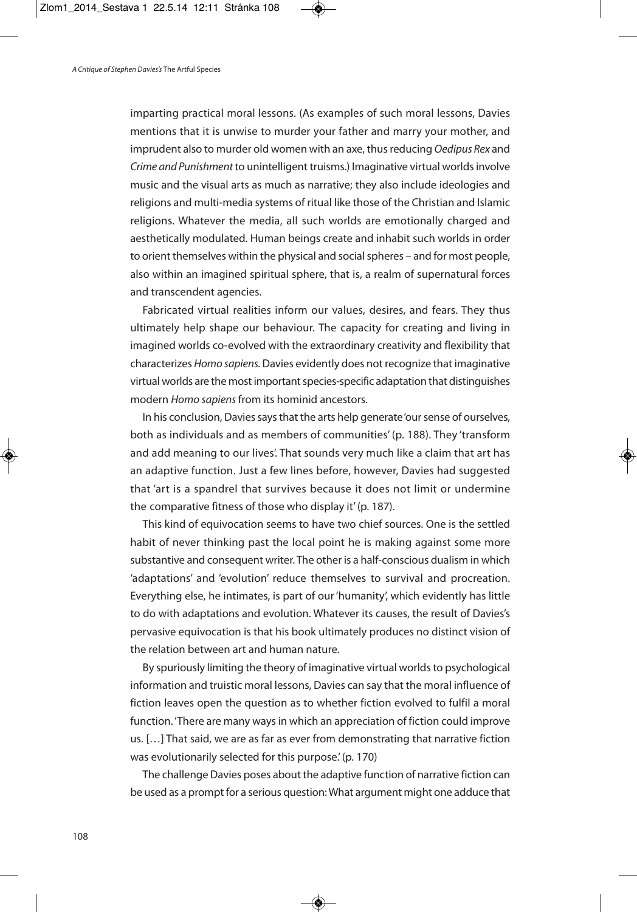imparting practical moral lessons. (As examples of such moral lessons, Davies mentions that it is unwise to murder your father and marry your mother, and imprudent also to murder old women with an axe, thus reducing Oedipus Rex and Crime and Punishment to unintelligent truisms.) Imaginative virtual worlds involve music and the visual arts as much as narrative; they also include ideologies and religions and multi-media systems of ritual like those of the Christian and Islamic religions. Whatever the media, all such worlds are emotionally charged and aesthetically modulated. Human beings create and inhabit such worlds in order to orient themselves within the physical and social spheres – and for most people, also within an imagined spiritual sphere, that is, a realm of supernatural forces and transcendent agencies.

Fabricated virtual realities inform our values, desires, and fears. They thus ultimately help shape our behaviour. The capacity for creating and living in imagined worlds co-evolved with the extraordinary creativity and flexibility that characterizes Homo sapiens. Davies evidently does not recognize that imaginative virtual worlds are the most important species-specific adaptation that distinguishes modern Homo sapiens from its hominid ancestors.

In his conclusion, Davies says that the arts help generate 'our sense of ourselves, both as individuals and as members of communities' (p. 188). They 'transform and add meaning to our lives'. That sounds very much like a claim that art has an adaptive function. Just a few lines before, however, Davies had suggested that 'art is a spandrel that survives because it does not limit or undermine the comparative fitness of those who display it'(p. 187).

This kind of equivocation seems to have two chief sources. One is the settled habit of never thinking past the local point he is making against some more substantive and consequent writer. The other is a half-conscious dualism in which 'adaptations' and 'evolution' reduce themselves to survival and procreation. Everything else, he intimates, is part of our'humanity', which evidently has little to do with adaptations and evolution. Whatever its causes, the result of Davies's pervasive equivocation is that his book ultimately produces no distinct vision of the relation between art and human nature.

By spuriously limiting the theory of imaginative virtual worlds to psychological information and truistic moral lessons, Davies can say that the moral influence of fiction leaves open the question as to whether fiction evolved to fulfil a moral function. There are many ways in which an appreciation of fiction could improve us. […] That said, we are as far as ever from demonstrating that narrative fiction was evolutionarily selected for this purpose.'(p. 170)

The challenge Davies poses about the adaptive function of narrative fiction can be used as a prompt for a serious question: What argument might one adduce that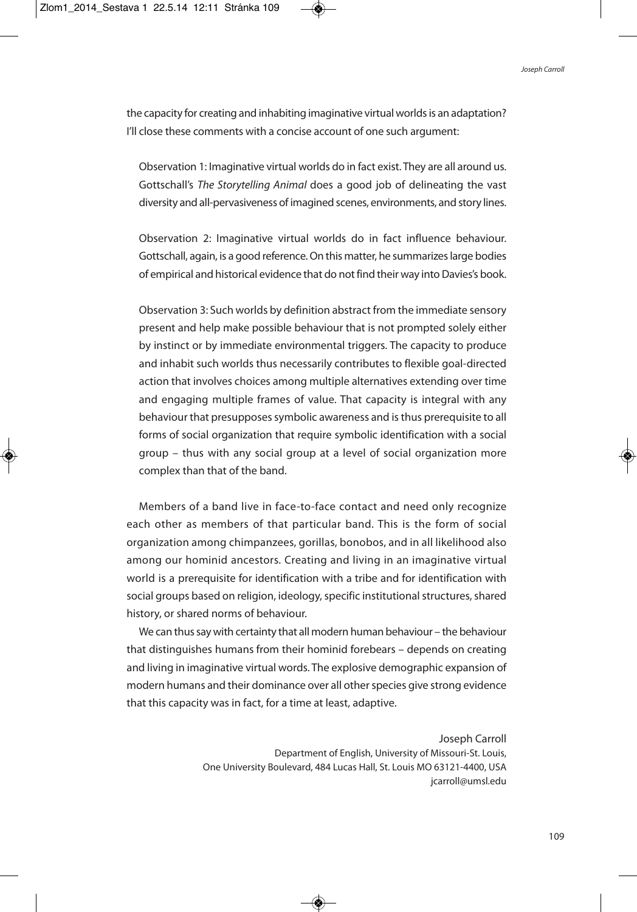the capacity for creating and inhabiting imaginative virtual worlds is an adaptation? I'll close these comments with a concise account of one such argument:

Observation 1: Imaginative virtual worlds do in fact exist. They are all around us. Gottschall's The Storytelling Animal does a good job of delineating the vast diversity and all-pervasiveness of imagined scenes, environments, and story lines.

Observation 2: Imaginative virtual worlds do in fact influence behaviour. Gottschall, again, is a good reference. On this matter, he summarizes large bodies of empirical and historical evidence that do not find their way into Davies's book.

Observation 3: Such worlds by definition abstract from the immediate sensory present and help make possible behaviour that is not prompted solely either by instinct or by immediate environmental triggers. The capacity to produce and inhabit such worlds thus necessarily contributes to flexible goal-directed action that involves choices among multiple alternatives extending over time and engaging multiple frames of value. That capacity is integral with any behaviour that presupposes symbolic awareness and is thus prerequisite to all forms of social organization that require symbolic identification with a social group – thus with any social group at a level of social organization more complex than that of the band.

Members of a band live in face-to-face contact and need only recognize each other as members of that particular band. This is the form of social organization among chimpanzees, gorillas, bonobos, and in all likelihood also among our hominid ancestors. Creating and living in an imaginative virtual world is a prerequisite for identification with a tribe and for identification with social groups based on religion, ideology, specific institutional structures, shared history, or shared norms of behaviour.

We can thus say with certainty that all modern human behaviour – the behaviour that distinguishes humans from their hominid forebears – depends on creating and living in imaginative virtual words. The explosive demographic expansion of modern humans and their dominance over all other species give strong evidence that this capacity was in fact, for a time at least, adaptive.

> Joseph Carroll Department of English, University of Missouri-St. Louis, One University Boulevard, 484 Lucas Hall, St. Louis MO 63121-4400, USA jcarroll@umsl.edu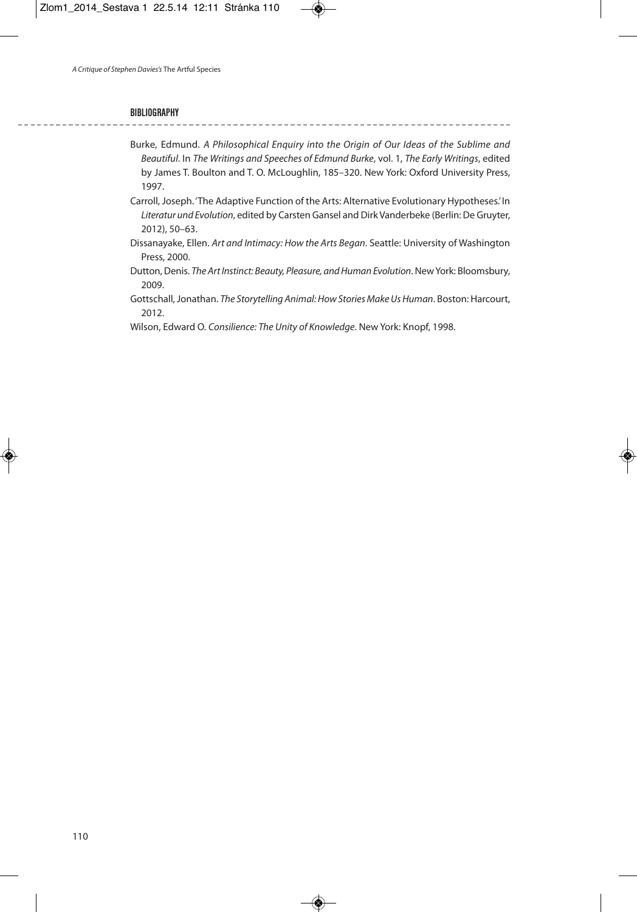#### **BIBLIOGRAPHY**

Burke, Edmund. A Philosophical Enquiry into the Origin of Our Ideas of the Sublime and Beautiful. In The Writings and Speeches of Edmund Burke, vol. 1, The Early Writings, edited by James T. Boulton and T. O. McLoughlin, 185–320. New York: Oxford University Press, 1997.

Carroll, Joseph. 'The Adaptive Function of the Arts: Alternative Evolutionary Hypotheses.'In Literatur und Evolution, edited by Carsten Gansel and Dirk Vanderbeke (Berlin: De Gruyter, 2012), 50–63.

- Dissanayake, Ellen. Art and Intimacy: How the Arts Began. Seattle: University of Washington Press, 2000.
- Dutton, Denis. The Art Instinct: Beauty, Pleasure, and Human Evolution. New York: Bloomsbury, 2009.

Gottschall, Jonathan. The Storytelling Animal: How Stories Make Us Human. Boston: Harcourt, 2012.

Wilson, Edward O. Consilience: The Unity of Knowledge. New York: Knopf, 1998.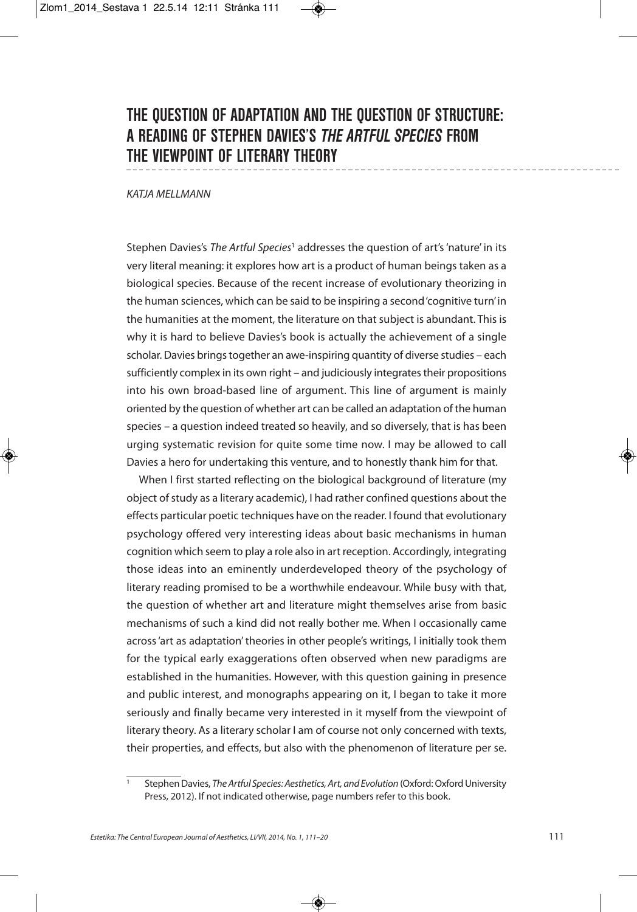# **THE QUESTION OF ADAPTATION AND THE QUESTION OF STRUCTURE: A READING OF STEPHEN DAVIES'S** *THE ARTFUL SPECIES* **FROM THE VIEWPOINT OF LITERARY THEORY**

KATJA MFI I MANN

Stephen Davies's The Artful Species<sup>1</sup> addresses the question of art's 'nature' in its very literal meaning: it explores how art is a product of human beings taken as a biological species. Because of the recent increase of evolutionary theorizing in the human sciences, which can be said to be inspiring a second'cognitive turn'in the humanities at the moment, the literature on that subject is abundant. This is why it is hard to believe Davies's book is actually the achievement of a single scholar. Davies brings together an awe-inspiring quantity of diverse studies – each sufficiently complex in its own right – and judiciously integrates their propositions into his own broad-based line of argument. This line of argument is mainly oriented by the question of whether art can be called an adaptation of the human species – a question indeed treated so heavily, and so diversely, that is has been urging systematic revision for quite some time now. I may be allowed to call Davies a hero for undertaking this venture, and to honestly thank him for that.

When I first started reflecting on the biological background of literature (my object of study as a literary academic), I had rather confined questions about the effects particular poetic techniques have on the reader. I found that evolutionary psychology offered very interesting ideas about basic mechanisms in human cognition which seem to play a role also in art reception. Accordingly, integrating those ideas into an eminently underdeveloped theory of the psychology of literary reading promised to be a worthwhile endeavour. While busy with that, the question of whether art and literature might themselves arise from basic mechanisms of such a kind did not really bother me. When I occasionally came across 'art as adaptation' theories in other people's writings, I initially took them for the typical early exaggerations often observed when new paradigms are established in the humanities. However, with this question gaining in presence and public interest, and monographs appearing on it, I began to take it more seriously and finally became very interested in it myself from the viewpoint of literary theory. As a literary scholar I am of course not only concerned with texts, their properties, and effects, but also with the phenomenon of literature per se.

Stephen Davies, The Artful Species: Aesthetics, Art, and Evolution (Oxford: Oxford University Press, 2012). If not indicated otherwise, page numbers refer to this book.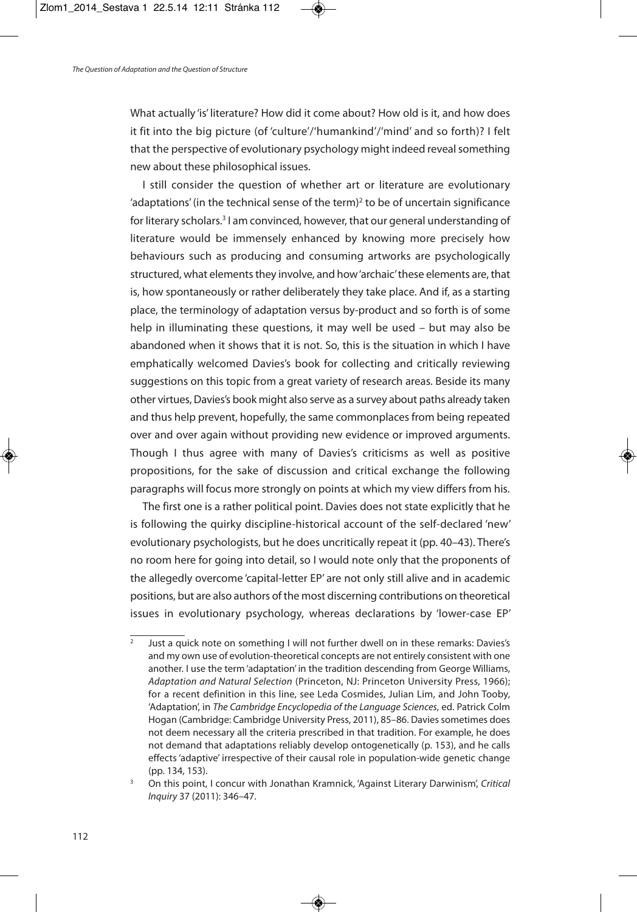What actually 'is' literature? How did it come about? How old is it, and how does it fit into the big picture (of 'culture'/'humankind'/'mind' and so forth)? I felt that the perspective of evolutionary psychology might indeed reveal something new about these philosophical issues.

I still consider the question of whether art or literature are evolutionary 'adaptations' (in the technical sense of the term)<sup>2</sup> to be of uncertain significance for literary scholars. <sup>3</sup> I am convinced, however, that our general understanding of literature would be immensely enhanced by knowing more precisely how behaviours such as producing and consuming artworks are psychologically structured, what elements they involve, and how'archaic' these elements are, that is, how spontaneously or rather deliberately they take place. And if, as a starting place, the terminology of adaptation versus by-product and so forth is of some help in illuminating these questions, it may well be used – but may also be abandoned when it shows that it is not. So, this is the situation in which I have emphatically welcomed Davies's book for collecting and critically reviewing suggestions on this topic from a great variety of research areas. Beside its many other virtues, Davies's book might also serve as a survey about paths already taken and thus help prevent, hopefully, the same commonplaces from being repeated over and over again without providing new evidence or improved arguments. Though I thus agree with many of Davies's criticisms as well as positive propositions, for the sake of discussion and critical exchange the following paragraphs will focus more strongly on points at which my view differs from his.

The first one is a rather political point. Davies does not state explicitly that he is following the quirky discipline-historical account of the self-declared 'new' evolutionary psychologists, but he does uncritically repeat it (pp. 40–43). There's no room here for going into detail, so I would note only that the proponents of the allegedly overcome 'capital-letter EP' are not only still alive and in academic positions, but are also authors of the most discerning contributions on theoretical issues in evolutionary psychology, whereas declarations by 'lower-case EP'

 $\frac{1}{2}$  Just a quick note on something I will not further dwell on in these remarks: Davies's and my own use of evolution-theoretical concepts are not entirely consistent with one another. I use the term 'adaptation' in the tradition descending from George Williams, Adaptation and Natural Selection (Princeton, NJ: Princeton University Press, 1966); for a recent definition in this line, see Leda Cosmides, Julian Lim, and John Tooby, 'Adaptation', in The Cambridge Encyclopedia of the Language Sciences, ed. Patrick Colm Hogan (Cambridge: Cambridge University Press, 2011), 85-86. Davies sometimes does not deem necessary all the criteria prescribed in that tradition. For example, he does not demand that adaptations reliably develop ontogenetically (p. 153), and he calls effects'adaptive' irrespective of their causal role in population-wide genetic change (pp. 134, 153).

<sup>&</sup>lt;sup>3</sup> On this point, I concur with Jonathan Kramnick, 'Against Literary Darwinism', Critical Inquiry 37 (2011): 346–47.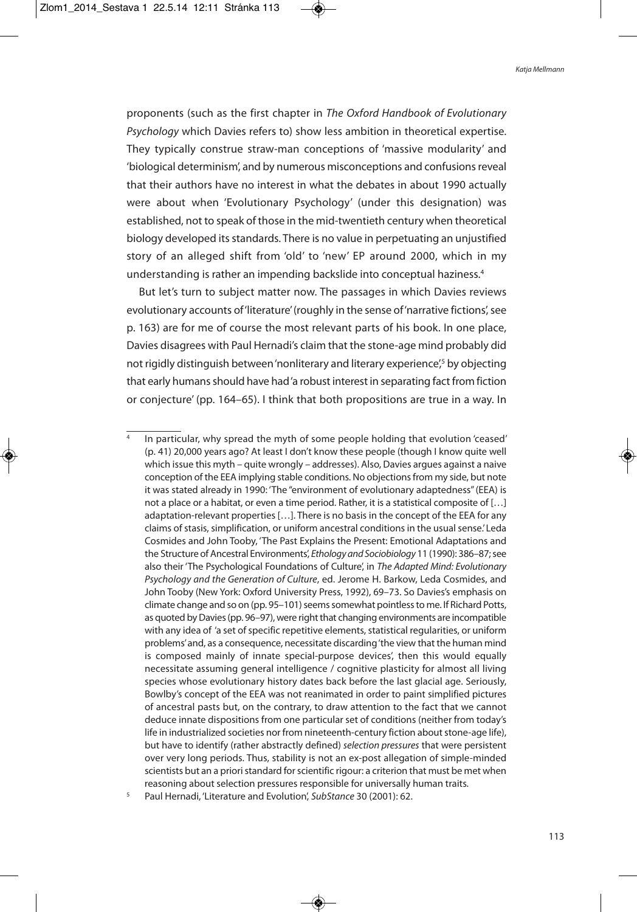proponents (such as the first chapter in The Oxford Handbook of Evolutionary Psychology which Davies refers to) show less ambition in theoretical expertise. They typically construe straw-man conceptions of 'massive modularity' and 'biological determinism', and by numerous misconceptions and confusions reveal that their authors have no interest in what the debates in about 1990 actually were about when 'Evolutionary Psychology' (under this designation) was established, not to speak of those in the mid-twentieth century when theoretical biology developed its standards. There is no value in perpetuating an unjustified story of an alleged shift from 'old' to 'new' EP around 2000, which in my understanding is rather an impending backslide into conceptual haziness. 4

But let's turn to subject matter now. The passages in which Davies reviews evolutionary accounts of 'literature' (roughly in the sense of 'narrative fictions', see p. 163) are for me of course the most relevant parts of his book. In one place, Davies disagrees with Paul Hernadi's claim that the stone-age mind probably did not rigidly distinguish between 'nonliterary and literary experience',<sup>5</sup> by objecting that early humans should have had'a robust interest in separating fact from fiction or conjecture' (pp. 164–65). I think that both propositions are true in a way. In

In particular, why spread the myth of some people holding that evolution 'ceased' (p. 41) 20,000 years ago? At least I don't know these people (though I know quite well which issue this myth – quite wrongly – addresses). Also, Davies argues against a naive conception of the EEA implying stable conditions. No objectionsfrom my side, but note it was stated already in 1990: 'The "environment of evolutionary adaptedness"(EEA) is not a place or a habitat, or even a time period. Rather, it is a statistical composite of […] adaptation-relevant properties […]. There is no basis in the concept of the EEA for any claims of stasis, simplification, or uniform ancestral conditions in the usual sense.'Leda Cosmides and John Tooby, 'The Past Explains the Present: Emotional Adaptations and the Structure of Ancestral Environments', Ethology and Sociobiology 11 (1990): 386–87; see also their 'The Psychological Foundations of Culture', in The Adapted Mind: Evolutionary Psychology and the Generation of Culture, ed. Jerome H. Barkow, Leda Cosmides, and John Tooby (New York: Oxford University Press, 1992), 69–73. So Davies's emphasis on climate change and so on (pp. 95-101) seems somewhat pointless to me. If Richard Potts, as quoted by Davies (pp. 96–97), were right that changing environments are incompatible with any idea of 'a set of specific repetitive elements, statistical regularities, or uniform problems'and, as a consequence, necessitate discarding'the view that the human mind is composed mainly of innate special-purpose devices', then this would equally necessitate assuming general intelligence / cognitive plasticity for almost all living species whose evolutionary history dates back before the last glacial age. Seriously, Bowlby's concept of the EEA was not reanimated in order to paint simplified pictures of ancestral pasts but, on the contrary, to draw attention to the fact that we cannot deduce innate dispositions from one particular set of conditions (neither from today's life in industrialized societies nor from nineteenth-century fiction about stone-age life), but have to identify (rather abstractly defined) selection pressures that were persistent over very long periods. Thus, stability is not an ex-post allegation of simple-minded scientists but an a priori standard for scientific rigour: a criterion that must be met when reasoning about selection pressures responsible for universally human traits.

Paul Hernadi, 'Literature and Evolution', SubStance 30 (2001): 62.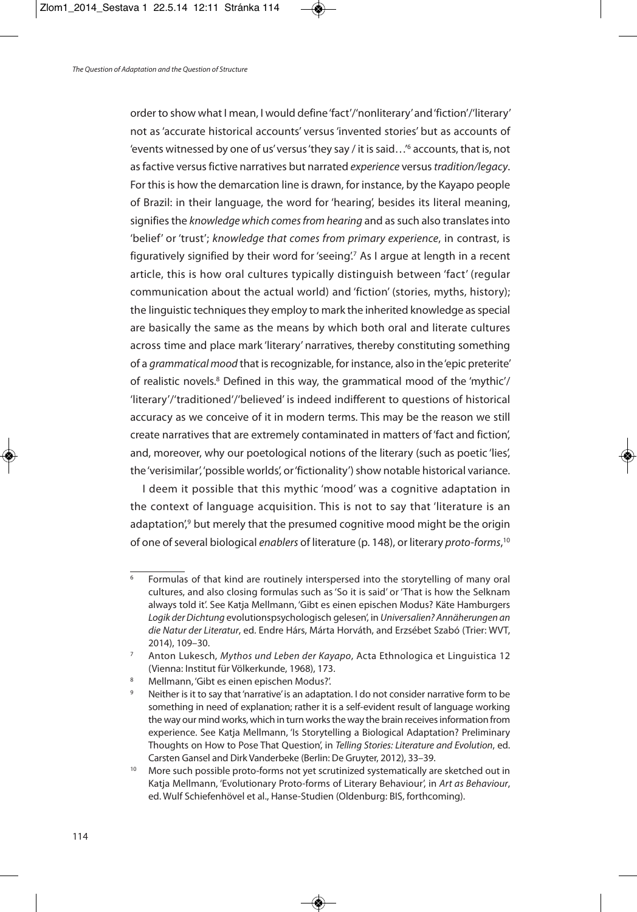order to show what I mean, I would define'fact'/'nonliterary'and'fiction'/'literary' not as'accurate historical accounts' versus'invented stories' but as accounts of 'events witnessed by one of us' versus 'they say / it is said...'<sup>6</sup> accounts, that is, not as factive versus fictive narratives but narrated experience versus tradition/legacy. For this is how the demarcation line is drawn, for instance, by the Kayapo people of Brazil: in their language, the word for 'hearing', besides its literal meaning, signifies the knowledge which comes from hearing and as such also translates into 'belief' or 'trust'; knowledge that comes from primary experience, in contrast, is figuratively signified by their word for 'seeing'. <sup>7</sup> As I argue at length in a recent article, this is how oral cultures typically distinguish between 'fact' (regular communication about the actual world) and 'fiction' (stories, myths, history); the linguistic techniques they employ to mark the inherited knowledge as special are basically the same as the means by which both oral and literate cultures across time and place mark 'literary' narratives, thereby constituting something of a grammatical mood that is recognizable, for instance, also in the 'epic preterite' of realistic novels. <sup>8</sup> Defined in this way, the grammatical mood of the 'mythic'/ 'literary'/'traditioned'/'believed' is indeed indifferent to questions of historical accuracy as we conceive of it in modern terms. This may be the reason we still create narratives that are extremely contaminated in matters of'fact and fiction', and, moreover, why our poetological notions of the literary (such as poetic 'lies', the 'verisimilar', 'possible worlds', or 'fictionality') show notable historical variance.

I deem it possible that this mythic 'mood' was a cognitive adaptation in the context of language acquisition. This is not to say that 'literature is an adaptation',<sup>9</sup> but merely that the presumed cognitive mood might be the origin of one of several biological enablers of literature (p. 148), or literary proto-forms,<sup>10</sup>

<sup>6</sup> Formulas of that kind are routinely interspersed into the storytelling of many oral cultures, and also closing formulas such as'So it is said' or 'That is how the Selknam always told it'. See Katja Mellmann, 'Gibt es einen epischen Modus? Käte Hamburgers Logik der Dichtung evolutionspsychologisch gelesen', in Universalien? Annäherungen an die Natur der Literatur, ed. Endre Hárs, Márta Horváth, and Erzsébet Szabó (Trier: WVT, 2014), 109–30.

<sup>&</sup>lt;sup>7</sup> Anton Lukesch, Mythos und Leben der Kayapo, Acta Ethnologica et Linguistica 12 (Vienna: Institut für Völkerkunde, 1968), 173.

<sup>8</sup> Mellmann, 'Gibt es einen epischen Modus?'.

<sup>&</sup>lt;sup>9</sup> Neither is it to say that 'narrative' is an adaptation. I do not consider narrative form to be something in need of explanation; rather it is a self-evident result of language working the way our mind works, which in turn works the way the brain receives information from experience. See Katja Mellmann, 'Is Storytelling a Biological Adaptation? Preliminary Thoughts on How to Pose That Question', in Telling Stories: Literature and Evolution, ed. Carsten Gansel and Dirk Vanderbeke (Berlin: De Gruyter, 2012), 33–39.

More such possible proto-forms not yet scrutinized systematically are sketched out in Katja Mellmann, 'Evolutionary Proto-forms of Literary Behaviour', in Art as Behaviour, ed. Wulf Schiefenhövel et al., Hanse-Studien (Oldenburg: BIS, forthcoming).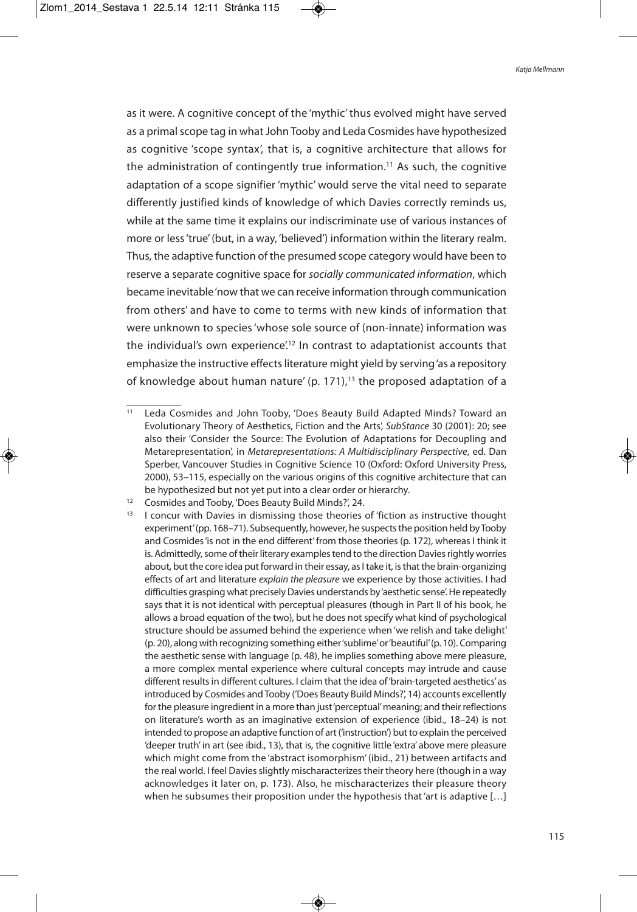as it were. A cognitive concept of the 'mythic'thus evolved might have served as a primal scope tag in what John Tooby and Leda Cosmides have hypothesized as cognitive 'scope syntax', that is, a cognitive architecture that allows for the administration of contingently true information. <sup>11</sup> As such, the cognitive adaptation of a scope signifier 'mythic' would serve the vital need to separate differently justified kinds of knowledge of which Davies correctly reminds us, while at the same time it explains our indiscriminate use of various instances of more or less'true'(but, in a way, 'believed') information within the literary realm. Thus, the adaptive function of the presumed scope category would have been to reserve a separate cognitive space for socially communicated information, which became inevitable'now that we can receive information through communication from others' and have to come to terms with new kinds of information that were unknown to species'whose sole source of (non-innate) information was the individual's own experience'.<sup>12</sup> In contrast to adaptationist accounts that emphasize the instructive effects literature might yield by serving'as a repository of knowledge about human nature' (p. 171), <sup>13</sup> the proposed adaptation of a

Leda Cosmides and John Tooby, 'Does Beauty Build Adapted Minds? Toward an Evolutionary Theory of Aesthetics, Fiction and the Arts', SubStance 30 (2001): 20; see also their 'Consider the Source: The Evolution of Adaptations for Decoupling and Metarepresentation', in Metarepresentations: A Multidisciplinary Perspective, ed. Dan Sperber, Vancouver Studies in Cognitive Science 10 (Oxford: Oxford University Press, 2000), 53–115, especially on the various origins of this cognitive architecture that can be hypothesized but not yet put into a clear order or hierarchy.

<sup>&</sup>lt;sup>12</sup> Cosmides and Tooby, 'Does Beauty Build Minds?', 24.

<sup>&</sup>lt;sup>13</sup> I concur with Davies in dismissing those theories of 'fiction as instructive thought experiment'(pp. 168–71). Subsequently, however, he suspectsthe position held byTooby and Cosmides 'is not in the end different' from those theories (p. 172), whereas I think it is. Admittedly, some of their literary examples tend to the direction Davies rightly worries about, but the core idea put forward in their essay, as I take it, is that the brain-organizing effects of art and literature explain the pleasure we experience by those activities. I had difficulties grasping what precisely Davies understands by 'aesthetic sense'. He repeatedly says that it is not identical with perceptual pleasures (though in Part II of his book, he allows a broad equation of the two), but he does not specify what kind of psychological structure should be assumed behind the experience when'we relish and take delight' (p. 20), along with recognizing something either'sublime'or'beautiful'(p. 10). Comparing the aesthetic sense with language (p. 48), he implies something above mere pleasure, a more complex mental experience where cultural concepts may intrude and cause different results in different cultures. I claim that the idea of 'brain-targeted aesthetics' as introduced by Cosmides and Tooby ('Does Beauty Build Minds?', 14) accounts excellently for the pleasure ingredient in a more than just 'perceptual' meaning; and their reflections on literature's worth as an imaginative extension of experience (ibid., 18–24) is not intended to propose an adaptive function of art ('instruction') but to explain the perceived 'deeper truth' in art (see ibid., 13), that is, the cognitive little 'extra' above mere pleasure which might come from the 'abstract isomorphism' (ibid., 21) between artifacts and the real world. I feel Davies slightly mischaracterizes their theory here (though in a way acknowledges it later on, p. 173). Also, he mischaracterizes their pleasure theory when he subsumes their proposition under the hypothesis that 'art is adaptive [...]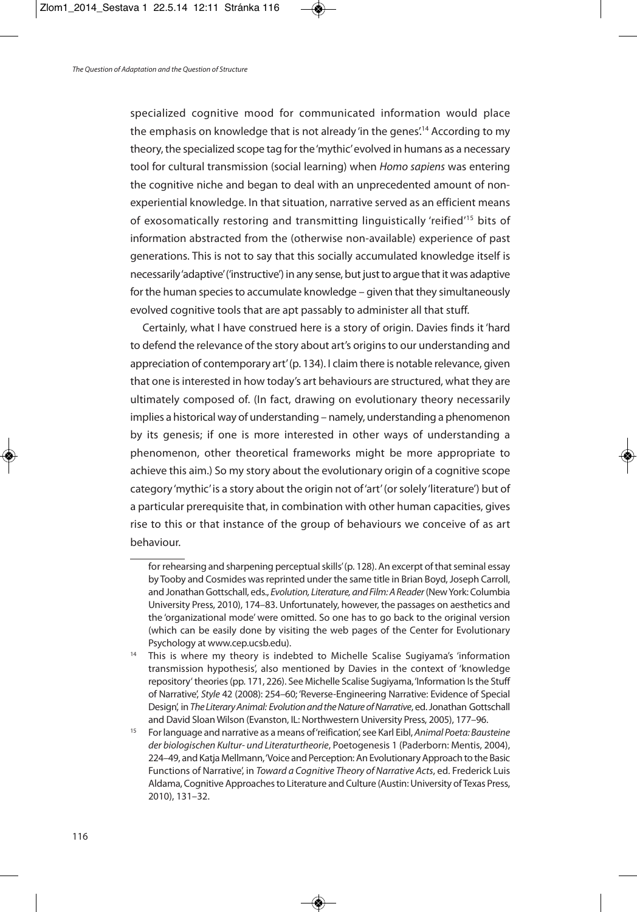specialized cognitive mood for communicated information would place the emphasis on knowledge that is not already 'in the genes'. <sup>14</sup> According to my theory, the specialized scope tag for the'mythic'evolved in humans as a necessary tool for cultural transmission (social learning) when Homo sapiens was entering the cognitive niche and began to deal with an unprecedented amount of nonexperiential knowledge. In that situation, narrative served as an efficient means of exosomatically restoring and transmitting linguistically 'reified' <sup>15</sup> bits of information abstracted from the (otherwise non-available) experience of past generations. This is not to say that this socially accumulated knowledge itself is necessarily'adaptive'('instructive') in any sense, but just to argue that it was adaptive for the human species to accumulate knowledge – given that they simultaneously evolved cognitive tools that are apt passably to administer all that stuff.

Certainly, what I have construed here is a story of origin. Davies finds it 'hard to defend the relevance of the story about art's origins to our understanding and appreciation of contemporary art'(p. 134). I claim there is notable relevance, given that one is interested in how today's art behaviours are structured, what they are ultimately composed of. (In fact, drawing on evolutionary theory necessarily implies a historical way of understanding – namely, understanding a phenomenon by its genesis; if one is more interested in other ways of understanding a phenomenon, other theoretical frameworks might be more appropriate to achieve this aim.) So my story about the evolutionary origin of a cognitive scope category'mythic'is a story about the origin not of'art'(orsolely'literature') but of a particular prerequisite that, in combination with other human capacities, gives rise to this or that instance of the group of behaviours we conceive of as art behaviour.

for rehearsing and sharpening perceptual skills' (p. 128). An excerpt of that seminal essay by Tooby and Cosmides was reprinted under the same title in Brian Boyd, Joseph Carroll, and Jonathan Gottschall, eds., Evolution, Literature, and Film: A Reader (New York: Columbia University Press, 2010), 174–83. Unfortunately, however, the passages on aesthetics and the 'organizational mode' were omitted. So one has to go back to the original version (which can be easily done by visiting the web pages of the Center for Evolutionary Psychology at www.cep.ucsb.edu).

<sup>&</sup>lt;sup>14</sup> This is where my theory is indebted to Michelle Scalise Sugiyama's 'information transmission hypothesis', also mentioned by Davies in the context of 'knowledge repository' theories(pp. 171, 226). See Michelle Scalise Sugiyama,'Information Isthe Stuff of Narrative', Style 42 (2008): 254–60; 'Reverse-Engineering Narrative: Evidence of Special Design', in The Literary Animal: Evolution and the Nature of Narrative, ed. Jonathan Gottschall and David Sloan Wilson (Evanston, IL: Northwestern University Press, 2005), 177–96.

<sup>&</sup>lt;sup>15</sup> For language and narrative as a means of 'reification', see Karl Eibl, Animal Poeta: Bausteine der biologischen Kultur- und Literaturtheorie, Poetogenesis 1 (Paderborn: Mentis, 2004), 224–49, and Katja Mellmann, 'Voice and Perception: An Evolutionary Approach to the Basic Functions of Narrative', in Toward a Cognitive Theory of Narrative Acts, ed. Frederick Luis Aldama, Cognitive Approachesto Literature and Culture (Austin:University ofTexas Press, 2010), 131–32.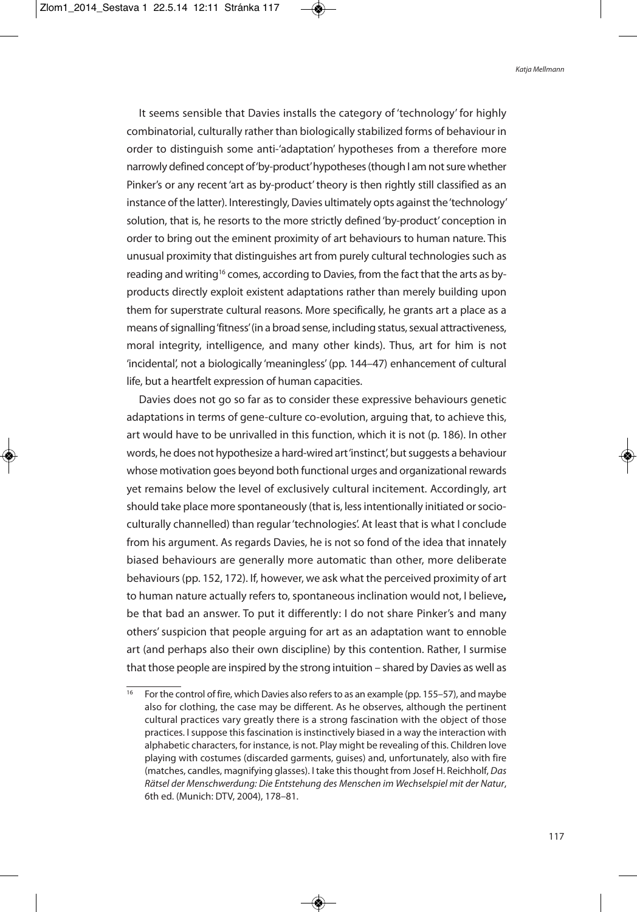It seems sensible that Davies installs the category of 'technology' for highly combinatorial, culturally rather than biologically stabilized forms of behaviour in order to distinguish some anti-'adaptation' hypotheses from a therefore more narrowly defined concept of 'by-product' hypotheses (though I am not sure whether Pinker's or any recent 'art as by-product' theory is then rightly still classified as an instance of the latter). Interestingly, Davies ultimately opts against the'technology' solution, that is, he resorts to the more strictly defined 'by-product' conception in order to bring out the eminent proximity of art behaviours to human nature. This unusual proximity that distinguishes art from purely cultural technologies such as reading and writing<sup>16</sup> comes, according to Davies, from the fact that the arts as byproducts directly exploit existent adaptations rather than merely building upon them for superstrate cultural reasons. More specifically, he grants art a place as a means of signalling 'fitness' (in a broad sense, including status, sexual attractiveness, moral integrity, intelligence, and many other kinds). Thus, art for him is not 'incidental', not a biologically 'meaningless' (pp. 144–47) enhancement of cultural life, but a heartfelt expression of human capacities.

Davies does not go so far as to consider these expressive behaviours genetic adaptations in terms of gene-culture co-evolution, arguing that, to achieve this, art would have to be unrivalled in this function, which it is not (p. 186). In other words, he does not hypothesize a hard-wired art 'instinct', but suggests a behaviour whose motivation goes beyond both functional urges and organizational rewards yet remains below the level of exclusively cultural incitement. Accordingly, art should take place more spontaneously (that is, less intentionally initiated or socioculturally channelled) than regular'technologies'. At least that is what I conclude from his argument. As regards Davies, he is not so fond of the idea that innately biased behaviours are generally more automatic than other, more deliberate behaviours(pp. 152, 172). If, however, we ask what the perceived proximity of art to human nature actually refers to, spontaneous inclination would not, I believe**,** be that bad an answer. To put it differently: I do not share Pinker's and many others'suspicion that people arguing for art as an adaptation want to ennoble art (and perhaps also their own discipline) by this contention. Rather, I surmise that those people are inspired by the strong intuition – shared by Davies as well as

<sup>&</sup>lt;sup>16</sup> For the control of fire, which Davies also refers to as an example (pp. 155–57), and maybe also for clothing, the case may be different. As he observes, although the pertinent cultural practices vary greatly there is a strong fascination with the object of those practices. I suppose this fascination is instinctively biased in a way the interaction with alphabetic characters, for instance, is not. Play might be revealing of this. Children love playing with costumes (discarded garments, guises) and, unfortunately, also with fire (matches, candles, magnifying glasses). I take this thought from Josef H. Reichholf, Das Rätsel der Menschwerdung: Die Entstehung des Menschen im Wechselspiel mit der Natur, 6th ed. (Munich: DTV, 2004), 178–81.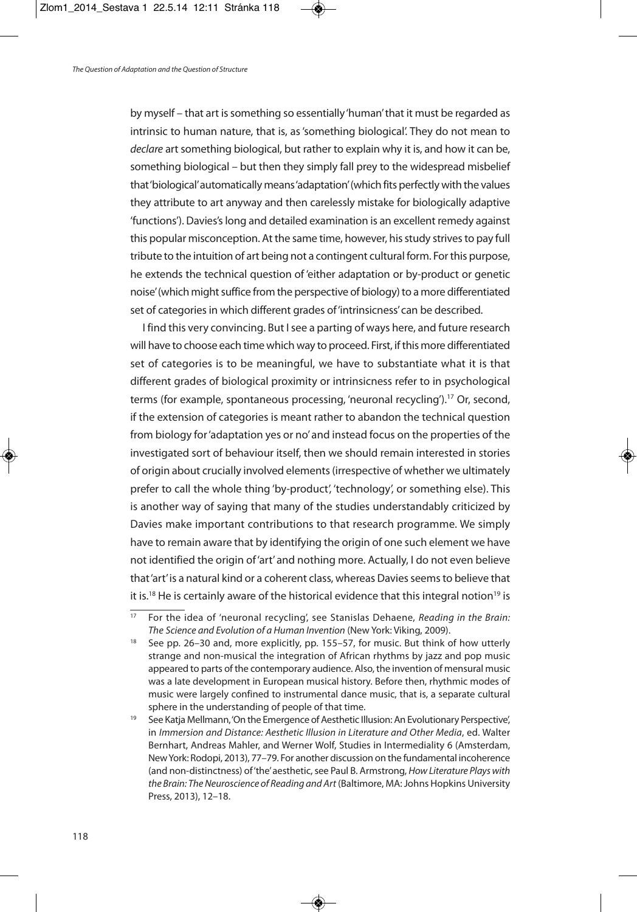by myself – that art is something so essentially 'human' that it must be regarded as intrinsic to human nature, that is, as'something biological'. They do not mean to declare art something biological, but rather to explain why it is, and how it can be, something biological – but then they simply fall prey to the widespread misbelief that'biological'automatically means'adaptation'(which fits perfectly with the values they attribute to art anyway and then carelessly mistake for biologically adaptive 'functions'). Davies's long and detailed examination is an excellent remedy against this popular misconception. At the same time, however, his study strives to pay full tribute to the intuition of art being not a contingent cultural form. For this purpose, he extends the technical question of 'either adaptation or by-product or genetic noise' (which might suffice from the perspective of biology) to a more differentiated set of categories in which different grades of 'intrinsicness' can be described.

I find this very convincing. But I see a parting of ways here, and future research will have to choose each time which way to proceed. First, if this more differentiated set of categories is to be meaningful, we have to substantiate what it is that different grades of biological proximity or intrinsicness refer to in psychological terms (for example, spontaneous processing, 'neuronal recycling'). <sup>17</sup> Or, second, if the extension of categories is meant rather to abandon the technical question from biology for'adaptation yes or no'and instead focus on the properties of the investigated sort of behaviour itself, then we should remain interested in stories of origin about crucially involved elements(irrespective of whether we ultimately prefer to call the whole thing 'by-product', 'technology', or something else). This is another way of saying that many of the studies understandably criticized by Davies make important contributions to that research programme. We simply have to remain aware that by identifying the origin of one such element we have not identified the origin of'art'and nothing more. Actually, I do not even believe that 'art' is a natural kind or a coherent class, whereas Davies seems to believe that it is.<sup>18</sup> He is certainly aware of the historical evidence that this integral notion<sup>19</sup> is

For the idea of 'neuronal recycling', see Stanislas Dehaene, Reading in the Brain: The Science and Evolution of a Human Invention (New York: Viking, 2009).

<sup>&</sup>lt;sup>18</sup> See pp. 26–30 and, more explicitly, pp. 155–57, for music. But think of how utterly strange and non-musical the integration of African rhythms by jazz and pop music appeared to parts of the contemporary audience. Also, the invention of mensural music was a late development in European musical history. Before then, rhythmic modes of music were largely confined to instrumental dance music, that is, a separate cultural sphere in the understanding of people of that time.

<sup>&</sup>lt;sup>19</sup> See Katja Mellmann, 'On the Emergence of Aesthetic Illusion: An Evolutionary Perspective', in Immersion and Distance: Aesthetic Illusion in Literature and Other Media, ed. Walter Bernhart, Andreas Mahler, and Werner Wolf, Studies in Intermediality 6 (Amsterdam, NewYork: Rodopi, 2013), 77–79. For another discussion on the fundamental incoherence (and non-distinctness) of 'the' aesthetic, see Paul B. Armstrong, How Literature Plays with the Brain: The Neuroscience of Reading and Art (Baltimore, MA: Johns Hopkins University Press, 2013), 12–18.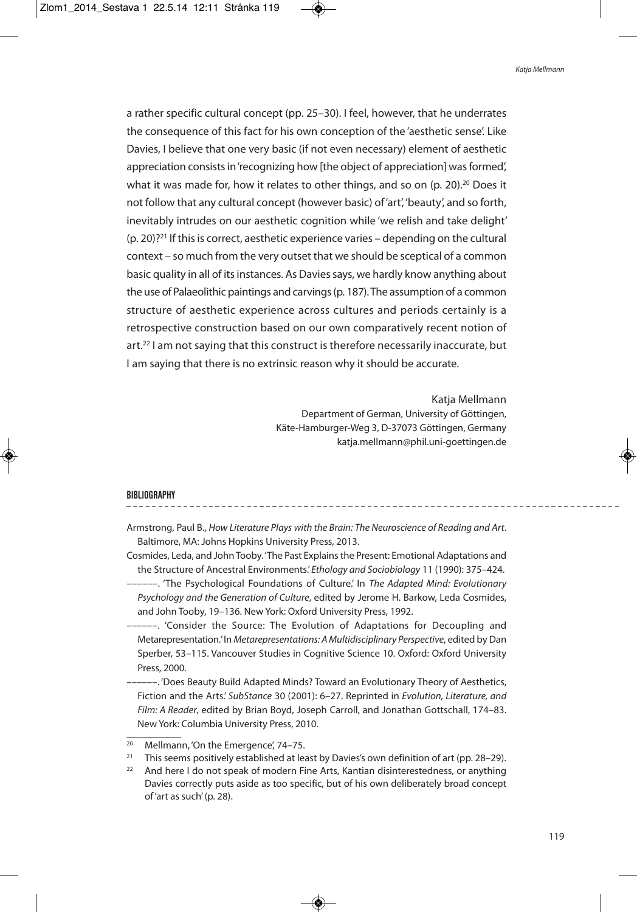a rather specific cultural concept (pp. 25–30). I feel, however, that he underrates the consequence of this fact for his own conception of the 'aesthetic sense'. Like Davies, I believe that one very basic (if not even necessary) element of aesthetic appreciation consists in 'recognizing how [the object of appreciation] was formed', what it was made for, how it relates to other things, and so on (p. 20).<sup>20</sup> Does it not follow that any cultural concept (however basic) of'art', 'beauty', and so forth, inevitably intrudes on our aesthetic cognition while 'we relish and take delight'  $(p. 20)$ ?<sup>21</sup> If this is correct, aesthetic experience varies – depending on the cultural context – so much from the very outset that we should be sceptical of a common basic quality in all of its instances. As Davies says, we hardly know anything about the use of Palaeolithic paintings and carvings(p. 187).The assumption of a common structure of aesthetic experience across cultures and periods certainly is a retrospective construction based on our own comparatively recent notion of art. <sup>22</sup> I am not saying that this construct is therefore necessarily inaccurate, but I am saying that there is no extrinsic reason why it should be accurate.

> Katja Mellmann Department of German, University of Göttingen, Käte-Hamburger-Weg 3, D-37073 Göttingen, Germany katja.mellmann@phil.uni-goettingen.de

#### **BIBLIOGRAPHY**

- Armstrong, Paul B., How Literature Plays with the Brain: The Neuroscience of Reading and Art. Baltimore, MA: Johns Hopkins University Press, 2013.
- Cosmides, Leda, and JohnTooby.'The Past Explainsthe Present: Emotional Adaptations and the Structure of Ancestral Environments.' Ethology and Sociobiology 11 (1990): 375–424.
- --. 'The Psychological Foundations of Culture.' In The Adapted Mind: Evolutionary Psychology and the Generation of Culture, edited by Jerome H. Barkow, Leda Cosmides, and John Tooby, 19–136. New York: Oxford University Press, 1992.
- ---. 'Consider the Source: The Evolution of Adaptations for Decoupling and Metarepresentation.'In Metarepresentations: AMultidisciplinary Perspective, edited by Dan Sperber, 53–115. Vancouver Studies in Cognitive Science 10. Oxford: Oxford University Press, 2000.
- ––––––. 'Does Beauty Build Adapted Minds? Toward an Evolutionary Theory of Aesthetics, Fiction and the Arts.' SubStance 30 (2001): 6-27. Reprinted in Evolution, Literature, and Film: A Reader, edited by Brian Boyd, Joseph Carroll, and Jonathan Gottschall, 174–83. New York: Columbia University Press, 2010.

<sup>&</sup>lt;sup>20</sup> Mellmann, 'On the Emergence', 74-75.

<sup>&</sup>lt;sup>21</sup> This seems positively established at least by Davies's own definition of art (pp. 28–29).

 $22$  And here I do not speak of modern Fine Arts, Kantian disinterestedness, or anything Davies correctly puts aside as too specific, but of his own deliberately broad concept of'art as such'(p. 28).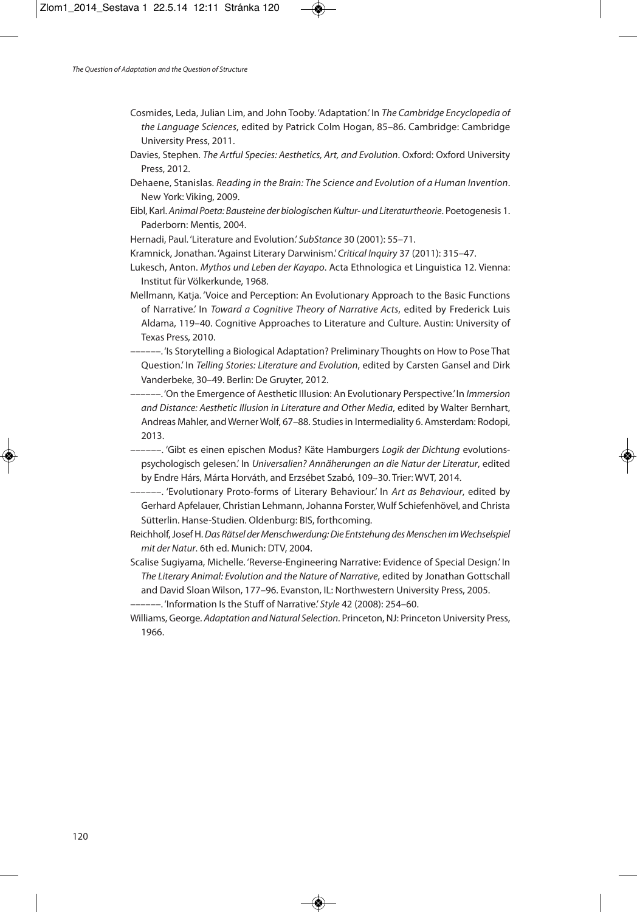- Cosmides, Leda, Julian Lim, and John Tooby. 'Adaptation.' In The Cambridge Encyclopedia of the Language Sciences, edited by Patrick Colm Hogan, 85–86. Cambridge: Cambridge University Press, 2011.
- Davies, Stephen. The Artful Species: Aesthetics, Art, and Evolution. Oxford: Oxford University Press, 2012.
- Dehaene, Stanislas. Reading in the Brain: The Science and Evolution of a Human Invention. New York: Viking, 2009.
- Eibl, Karl. Animal Poeta: Bausteine der biologischen Kultur- und Literaturtheorie. Poetogenesis 1. Paderborn: Mentis, 2004.
- Hernadi, Paul. 'Literature and Evolution.' SubStance 30 (2001): 55–71.
- Kramnick, Jonathan. 'Against Literary Darwinism.'Critical Inquiry 37 (2011): 315–47.
- Lukesch, Anton. Mythos und Leben der Kayapo. Acta Ethnologica et Linguistica 12. Vienna: Institut für Völkerkunde, 1968.
- Mellmann, Katja. 'Voice and Perception: An Evolutionary Approach to the Basic Functions of Narrative.' In Toward a Cognitive Theory of Narrative Acts, edited by Frederick Luis Aldama, 119–40. Cognitive Approaches to Literature and Culture. Austin: University of Texas Press, 2010.
- ––––––. 'Is Storytelling a Biological Adaptation? Preliminary Thoughts on How to Pose That Question.' In Telling Stories: Literature and Evolution, edited by Carsten Gansel and Dirk Vanderbeke, 30–49. Berlin: De Gruyter, 2012.
- --. 'On the Emergence of Aesthetic Illusion: An Evolutionary Perspective.' In Immersion and Distance: Aesthetic Illusion in Literature and Other Media, edited by Walter Bernhart, Andreas Mahler, andWernerWolf, 67–88. Studiesin Intermediality 6. Amsterdam: Rodopi, 2013.
- --. 'Gibt es einen epischen Modus? Käte Hamburgers Logik der Dichtung evolutionspsychologisch gelesen.' In Universalien? Annäherungen an die Natur der Literatur, edited by Endre Hárs, Márta Horváth, and Erzsébet Szabó, 109–30. Trier: WVT, 2014.
- ––––––. 'Evolutionary Proto-forms of Literary Behaviour.' In Art as Behaviour, edited by Gerhard Apfelauer, Christian Lehmann,Johanna Forster, Wulf Schiefenhövel, and Christa Sütterlin. Hanse-Studien. Oldenburg: BIS, forthcoming.
- Reichholf, Josef H. Das Rätsel der Menschwerdung: Die Entstehung des Menschen im Wechselspiel mit der Natur. 6th ed. Munich: DTV, 2004.
- Scalise Sugiyama, Michelle. 'Reverse-Engineering Narrative: Evidence of Special Design.' In The Literary Animal: Evolution and the Nature of Narrative, edited by Jonathan Gottschall and David Sloan Wilson, 177–96. Evanston, IL: Northwestern University Press, 2005.
- --. 'Information Is the Stuff of Narrative.' Style 42 (2008): 254-60.
- Williams, George. Adaptation and Natural Selection. Princeton, NJ: Princeton University Press, 1966.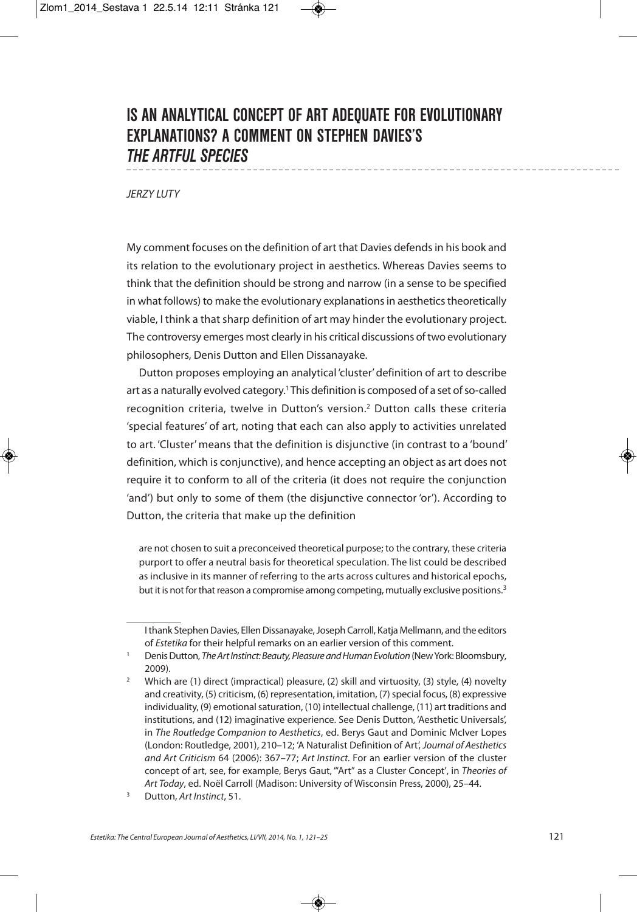# **IS AN ANALYTICAL CONCEPT OF ART ADEQUATE FOR EVOLUTIONARY EXPLANATIONS? A COMMENT ON STEPHEN DAVIES'S** *THE ARTFUL SPECIES*

**JFRZY LUTY** 

My comment focuses on the definition of art that Davies defendsin his book and its relation to the evolutionary project in aesthetics. Whereas Davies seems to think that the definition should be strong and narrow (in a sense to be specified in what follows) to make the evolutionary explanations in aesthetics theoretically viable, I think a that sharp definition of art may hinder the evolutionary project. The controversy emerges most clearly in his critical discussions of two evolutionary philosophers, Denis Dutton and Ellen Dissanayake.

Dutton proposes employing an analytical 'cluster'definition of art to describe art as a naturally evolved category.<sup>1</sup> This definition is composed of a set of so-called recognition criteria, twelve in Dutton's version. <sup>2</sup> Dutton calls these criteria 'special features' of art, noting that each can also apply to activities unrelated to art. 'Cluster' means that the definition is disjunctive (in contrast to a 'bound' definition, which is conjunctive), and hence accepting an object as art does not require it to conform to all of the criteria (it does not require the conjunction 'and') but only to some of them (the disjunctive connector 'or'). According to Dutton, the criteria that make up the definition

are not chosen to suit a preconceived theoretical purpose; to the contrary, these criteria purport to offer a neutral basis for theoretical speculation. The list could be described as inclusive in its manner of referring to the arts across cultures and historical epochs, but it is not for that reason a compromise among competing, mutually exclusive positions.<sup>3</sup>

<sup>3</sup> Dutton, Art Instinct, 51.

Ithank StephenDavies, EllenDissanayake,Joseph Carroll, Katja Mellmann, and the editors of Estetika for their helpful remarks on an earlier version of this comment.

Denis Dutton, The Art Instinct: Beauty, Pleasure and Human Evolution (New York: Bloomsbury, 2009).

<sup>2</sup> Which are (1) direct (impractical) pleasure, (2) skill and virtuosity, (3) style, (4) novelty and creativity, (5) criticism, (6) representation, imitation, (7) special focus, (8) expressive individuality, (9) emotional saturation, (10) intellectual challenge, (11) art traditions and institutions, and (12) imaginative experience. See Denis Dutton, 'Aesthetic Universals', in The Routledge Companion to Aesthetics, ed. Berys Gaut and Dominic McIver Lopes (London: Routledge, 2001), 210–12; 'A Naturalist Definition of Art', Journal of Aesthetics and Art Criticism 64 (2006): 367–77; Art Instinct. For an earlier version of the cluster concept of art, see, for example, Berys Gaut, '"Art'' as a Cluster Concept', in Theories of Art Today, ed. Noël Carroll (Madison: University of Wisconsin Press, 2000), 25–44.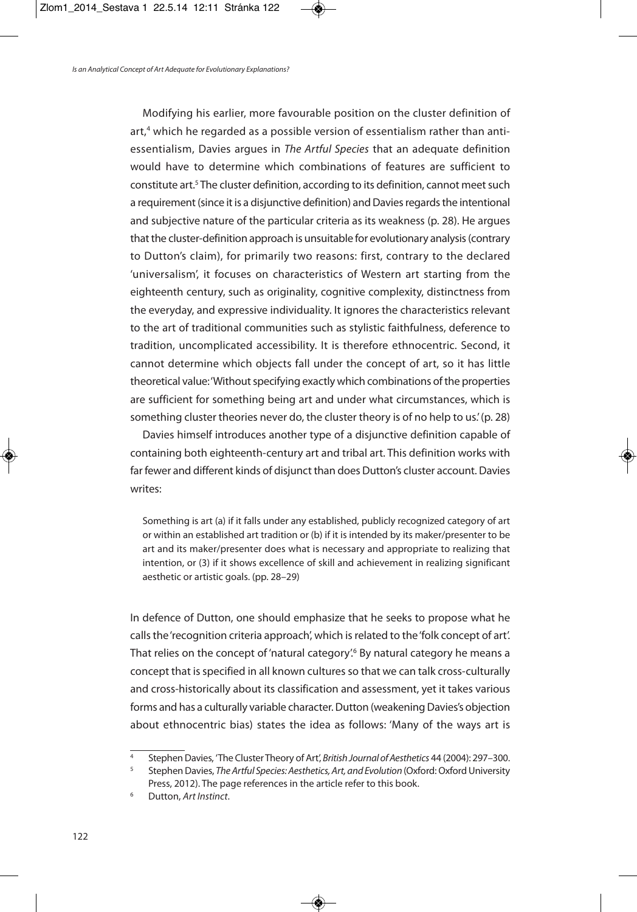Modifying his earlier, more favourable position on the cluster definition of art, <sup>4</sup> which he regarded as a possible version of essentialism rather than antiessentialism, Davies argues in The Artful Species that an adequate definition would have to determine which combinations of features are sufficient to constitute art.<sup>5</sup> The cluster definition, according to its definition, cannot meet such a requirement (since it is a disjunctive definition) and Davies regards the intentional and subjective nature of the particular criteria as its weakness (p. 28). He argues that the cluster-definition approach is unsuitable for evolutionary analysis (contrary to Dutton's claim), for primarily two reasons: first, contrary to the declared 'universalism', it focuses on characteristics of Western art starting from the eighteenth century, such as originality, cognitive complexity, distinctness from the everyday, and expressive individuality. It ignores the characteristics relevant to the art of traditional communities such as stylistic faithfulness, deference to tradition, uncomplicated accessibility. It is therefore ethnocentric. Second, it cannot determine which objects fall under the concept of art, so it has little theoretical value: 'Without specifying exactly which combinations of the properties are sufficient for something being art and under what circumstances, which is something cluster theories never do, the cluster theory is of no help to us.'(p. 28)

Davies himself introduces another type of a disjunctive definition capable of containing both eighteenth-century art and tribal art. This definition works with far fewer and different kinds of disjunct than does Dutton's cluster account. Davies writes:

Something is art (a) if it falls under any established, publicly recognized category of art or within an established art tradition or (b) if it is intended by its maker/presenter to be art and its maker/presenter does what is necessary and appropriate to realizing that intention, or (3) if it shows excellence of skill and achievement in realizing significant aesthetic or artistic goals. (pp. 28–29)

In defence of Dutton, one should emphasize that he seeks to propose what he calls the 'recognition criteria approach', which is related to the 'folk concept of art'. That relies on the concept of 'natural category'. <sup>6</sup> By natural category he means a concept that is specified in all known cultures so that we can talk cross-culturally and cross-historically about its classification and assessment, yet it takes various forms and has a culturally variable character. Dutton (weakening Davies's objection about ethnocentric bias) states the idea as follows: 'Many of the ways art is

Stephen Davies, 'The Cluster Theory of Art', British Journal of Aesthetics 44 (2004): 297-300.

<sup>&</sup>lt;sup>5</sup> Stephen Davies, The Artful Species: Aesthetics, Art, and Evolution (Oxford: Oxford University Press, 2012). The page references in the article refer to this book.

Dutton, Art Instinct.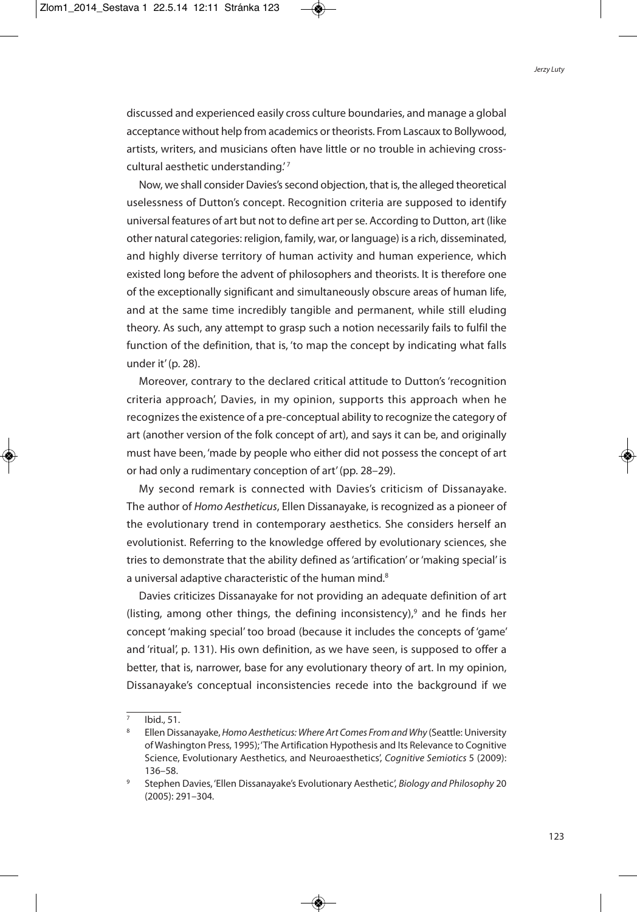discussed and experienced easily cross culture boundaries, and manage a global acceptance without help from academics or theorists. From Lascaux to Bollywood, artists, writers, and musicians often have little or no trouble in achieving crosscultural aesthetic understanding.<sup>'7</sup>

Now, we shall consider Davies's second objection, that is, the alleged theoretical uselessness of Dutton's concept. Recognition criteria are supposed to identify universal features of art but not to define art perse. According to Dutton, art (like other natural categories: religion, family, war, or language) is a rich, disseminated, and highly diverse territory of human activity and human experience, which existed long before the advent of philosophers and theorists. It is therefore one of the exceptionally significant and simultaneously obscure areas of human life, and at the same time incredibly tangible and permanent, while still eluding theory. As such, any attempt to grasp such a notion necessarily fails to fulfil the function of the definition, that is, 'to map the concept by indicating what falls under it'(p. 28).

Moreover, contrary to the declared critical attitude to Dutton's 'recognition criteria approach', Davies, in my opinion, supports this approach when he recognizes the existence of a pre-conceptual ability to recognize the category of art (another version of the folk concept of art), and says it can be, and originally must have been, 'made by people who either did not possess the concept of art or had only a rudimentary conception of art'(pp. 28–29).

My second remark is connected with Davies's criticism of Dissanayake. The author of Homo Aestheticus, Ellen Dissanayake, is recognized as a pioneer of the evolutionary trend in contemporary aesthetics. She considers herself an evolutionist. Referring to the knowledge offered by evolutionary sciences, she tries to demonstrate that the ability defined as'artification' or'making special' is a universal adaptive characteristic of the human mind.<sup>8</sup>

Davies criticizes Dissanayake for not providing an adequate definition of art (listing, among other things, the defining inconsistency), <sup>9</sup> and he finds her concept 'making special' too broad (because it includes the concepts of 'game' and 'ritual', p. 131). His own definition, as we have seen, is supposed to offer a better, that is, narrower, base for any evolutionary theory of art. In my opinion, Dissanayake's conceptual inconsistencies recede into the background if we

 $\frac{1}{7}$  Ibid., 51.

Ellen Dissanayake, Homo Aestheticus: Where Art Comes From and Why (Seattle: University of Washington Press, 1995);'The Artification Hypothesis and Its Relevance to Cognitive Science, Evolutionary Aesthetics, and Neuroaesthetics', Cognitive Semiotics 5 (2009): 136–58.

<sup>9</sup> Stephen Davies, 'Ellen Dissanayake's Evolutionary Aesthetic', Biology and Philosophy 20 (2005): 291–304.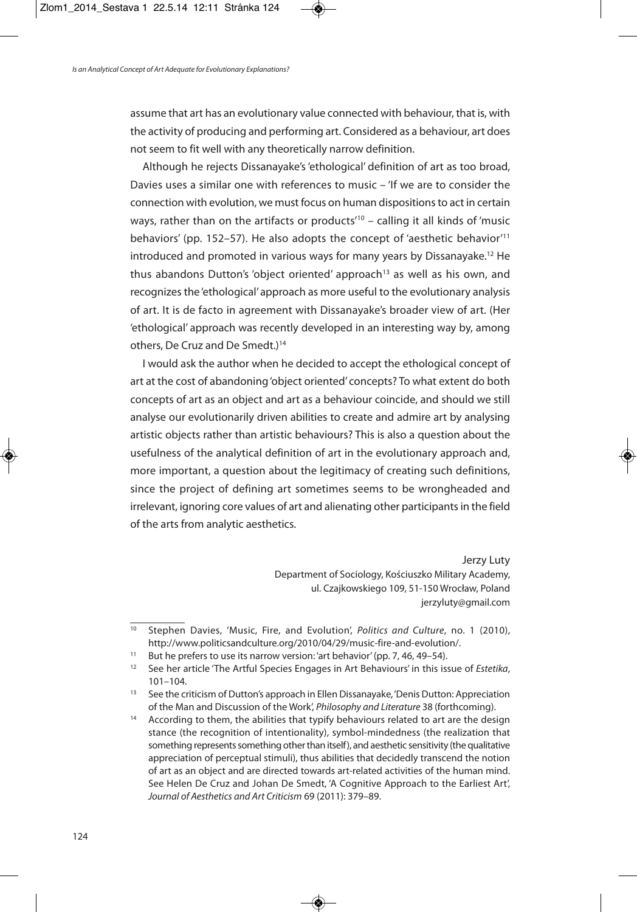assume that art has an evolutionary value connected with behaviour, that is, with the activity of producing and performing art. Considered as a behaviour, art does not seem to fit well with any theoretically narrow definition.

Although he rejects Dissanayake's'ethological' definition of art as too broad, Davies uses a similar one with references to music – 'If we are to consider the connection with evolution, we must focus on human dispositions to act in certain ways, rather than on the artifacts or products' <sup>10</sup> – calling it all kinds of 'music behaviors' (pp. 152–57). He also adopts the concept of 'aesthetic behavior' 11 introduced and promoted in various ways for many years by Dissanayake. <sup>12</sup> He thus abandons Dutton's 'object oriented' approach<sup>13</sup> as well as his own, and recognizes the'ethological'approach as more useful to the evolutionary analysis of art. It is de facto in agreement with Dissanayake's broader view of art. (Her 'ethological' approach was recently developed in an interesting way by, among others, De Cruz and De Smedt.) 14

I would ask the author when he decided to accept the ethological concept of art at the cost of abandoning'object oriented' concepts? To what extent do both concepts of art as an object and art as a behaviour coincide, and should we still analyse our evolutionarily driven abilities to create and admire art by analysing artistic objects rather than artistic behaviours? This is also a question about the usefulness of the analytical definition of art in the evolutionary approach and, more important, a question about the legitimacy of creating such definitions, since the project of defining art sometimes seems to be wrongheaded and irrelevant, ignoring core values of art and alienating other participants in the field of the arts from analytic aesthetics.

> Jerzy Luty Department of Sociology, Kościuszko Military Academy, ul. Czajkowskiego 109, 51-150 Wrocław, Poland jerzyluty@gmail.com

<sup>&</sup>lt;sup>10</sup> Stephen Davies, 'Music, Fire, and Evolution', Politics and Culture, no. 1 (2010), http://www.politicsandculture.org/2010/04/29/music-fire-and-evolution/.

<sup>&</sup>lt;sup>11</sup> But he prefers to use its narrow version: 'art behavior' (pp. 7, 46, 49–54).

<sup>&</sup>lt;sup>12</sup> See her article 'The Artful Species Engages in Art Behaviours' in this issue of Estetika, 101–104.

<sup>&</sup>lt;sup>13</sup> See the criticism of Dutton's approach in Ellen Dissanayake, 'Denis Dutton: Appreciation of the Man and Discussion of the Work', Philosophy and Literature 38 (forthcoming).

<sup>&</sup>lt;sup>14</sup> According to them, the abilities that typify behaviours related to art are the design stance (the recognition of intentionality), symbol-mindedness (the realization that something represents something other than itself), and aesthetic sensitivity (the qualitative appreciation of perceptual stimuli), thus abilities that decidedly transcend the notion of art as an object and are directed towards art-related activities of the human mind. See Helen De Cruz and Johan De Smedt, 'A Cognitive Approach to the Earliest Art', Journal of Aesthetics and Art Criticism 69 (2011): 379–89.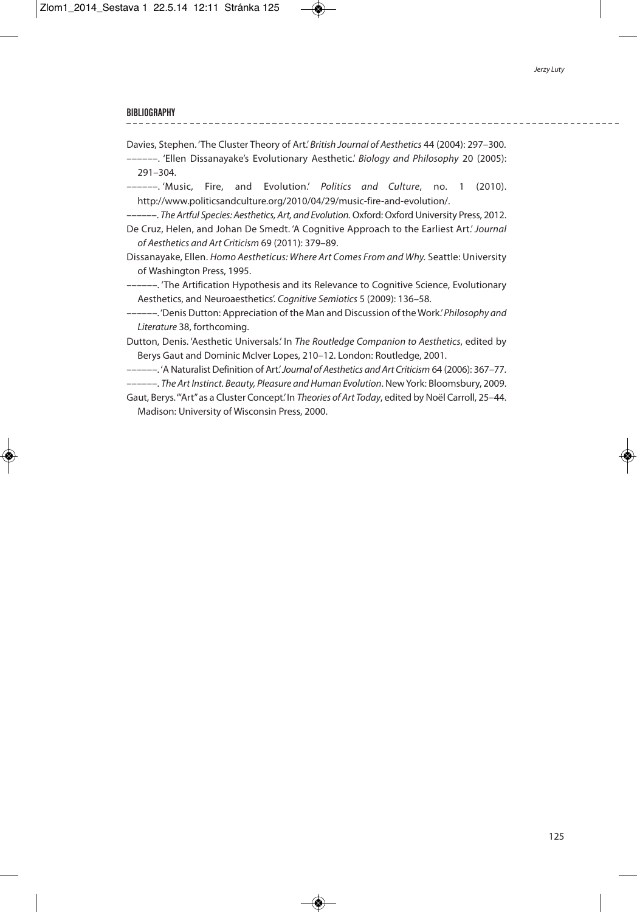**BIBLIOGRAPHY**

Davies, Stephen. 'The Cluster Theory of Art.'British Journal of Aesthetics 44 (2004): 297–300.

––––––. 'Ellen Dissanayake's Evolutionary Aesthetic.' Biology and Philosophy 20 (2005): 291–304.

––––––. 'Music, Fire, and Evolution.' Politics and Culture, no. 1 (2010). http://www.politicsandculture.org/2010/04/29/music-fire-and-evolution/.

––––––. The Artful Species: Aesthetics, Art, and Evolution.Oxford:Oxford University Press, 2012. De Cruz, Helen, and Johan De Smedt. 'A Cognitive Approach to the Earliest Art.'Journal of Aesthetics and Art Criticism 69 (2011): 379–89.

- Dissanayake, Ellen. Homo Aestheticus: Where Art Comes From and Why. Seattle: University of Washington Press, 1995.
- ––––––. 'The Artification Hypothesis and its Relevance to Cognitive Science, Evolutionary Aesthetics, and Neuroaesthetics'. Cognitive Semiotics 5 (2009): 136–58.
- ----. 'Denis Dutton: Appreciation of the Man and Discussion of the Work.' Philosophy and Literature 38, forthcoming.

Dutton, Denis. 'Aesthetic Universals.' In The Routledge Companion to Aesthetics, edited by Berys Gaut and Dominic McIver Lopes, 210–12. London: Routledge, 2001.

––––––. 'A Naturalist Definition of Art.'Journal of Aesthetics and Art Criticism 64 (2006): 367–77.

--. The Art Instinct. Beauty, Pleasure and Human Evolution. New York: Bloomsbury, 2009.

Gaut, Berys.'"Art"as a Cluster Concept.'In Theories of Art Today, edited by Noël Carroll, 25–44. Madison: University of Wisconsin Press, 2000.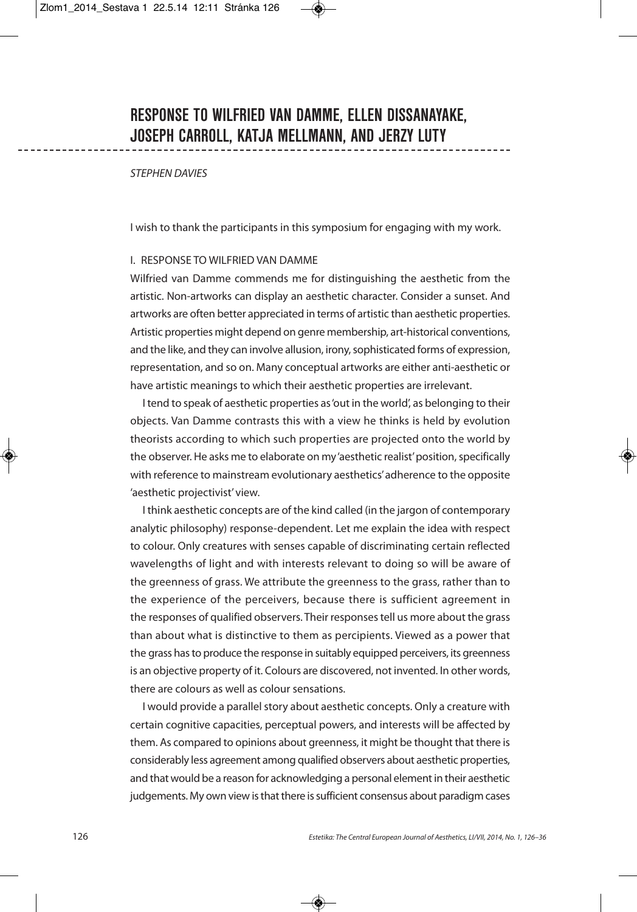## STEPHEN DAVIES

I wish to thank the participants in this symposium for engaging with my work.

## I. RESPONSE TO WILFRIED VAN DAMME

Wilfried van Damme commends me for distinguishing the aesthetic from the artistic. Non-artworks can display an aesthetic character. Consider a sunset. And artworks are often better appreciated in terms of artistic than aesthetic properties. Artistic properties might depend on genre membership, art-historical conventions, and the like, and they can involve allusion, irony,sophisticated forms of expression, representation, and so on. Many conceptual artworks are either anti-aesthetic or have artistic meanings to which their aesthetic properties are irrelevant.

I tend to speak of aesthetic properties as'out in the world', as belonging to their objects. Van Damme contrasts this with a view he thinks is held by evolution theorists according to which such properties are projected onto the world by the observer. He asks me to elaborate on my 'aesthetic realist' position, specifically with reference to mainstream evolutionary aesthetics'adherence to the opposite 'aesthetic projectivist' view.

I think aesthetic concepts are of the kind called (in the jargon of contemporary analytic philosophy) response-dependent. Let me explain the idea with respect to colour. Only creatures with senses capable of discriminating certain reflected wavelengths of light and with interests relevant to doing so will be aware of the greenness of grass. We attribute the greenness to the grass, rather than to the experience of the perceivers, because there is sufficient agreement in the responses of qualified observers. Their responsestell us more about the grass than about what is distinctive to them as percipients. Viewed as a power that the grass has to produce the response in suitably equipped perceivers, its greenness is an objective property of it. Colours are discovered, not invented. In other words, there are colours as well as colour sensations.

I would provide a parallel story about aesthetic concepts. Only a creature with certain cognitive capacities, perceptual powers, and interests will be affected by them. As compared to opinions about greenness, it might be thought that there is considerably less agreement among qualified observers about aesthetic properties, and that would be a reason for acknowledging a personal element in their aesthetic judgements. My own view is that there is sufficient consensus about paradigm cases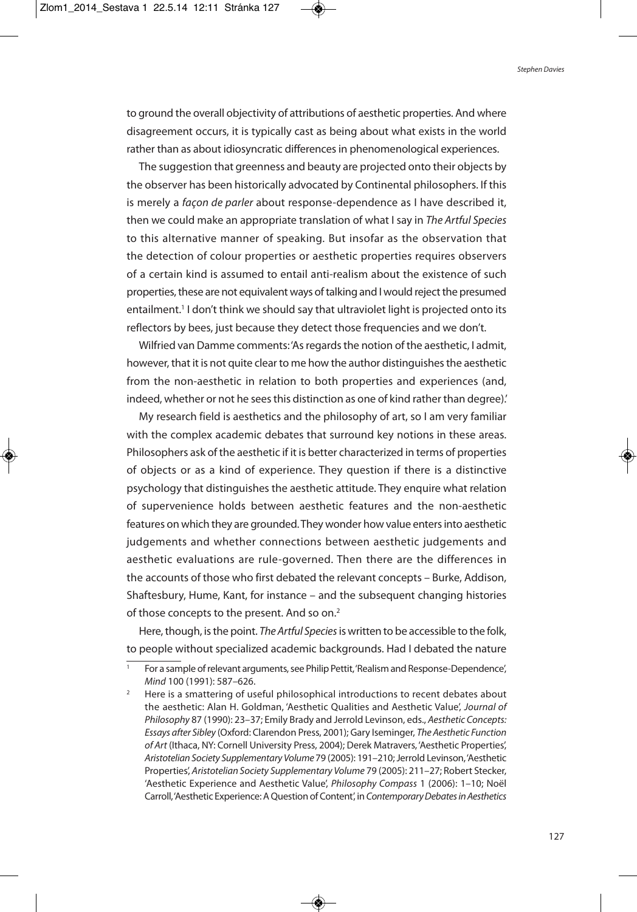to ground the overall objectivity of attributions of aesthetic properties. And where disagreement occurs, it is typically cast as being about what exists in the world rather than as about idiosyncratic differences in phenomenological experiences.

The suggestion that greenness and beauty are projected onto their objects by the observer has been historically advocated by Continental philosophers. If this is merely a façon de parler about response-dependence as I have described it, then we could make an appropriate translation of what I say in The Artful Species to this alternative manner of speaking. But insofar as the observation that the detection of colour properties or aesthetic properties requires observers of a certain kind is assumed to entail anti-realism about the existence of such properties, these are not equivalent ways of talking and I would reject the presumed entailment. <sup>1</sup> I don't think we should say that ultraviolet light is projected onto its reflectors by bees, just because they detect those frequencies and we don't.

Wilfried van Damme comments: 'As regards the notion of the aesthetic, I admit, however, that it is not quite clear to me how the author distinguishes the aesthetic from the non-aesthetic in relation to both properties and experiences (and, indeed, whether or not he sees this distinction as one of kind rather than degree).'

My research field is aesthetics and the philosophy of art, so I am very familiar with the complex academic debates that surround key notions in these areas. Philosophers ask of the aesthetic if it is better characterized in terms of properties of objects or as a kind of experience. They question if there is a distinctive psychology that distinguishes the aesthetic attitude. They enquire what relation of supervenience holds between aesthetic features and the non-aesthetic features on which they are grounded.They wonder how value entersinto aesthetic judgements and whether connections between aesthetic judgements and aesthetic evaluations are rule-governed. Then there are the differences in the accounts of those who first debated the relevant concepts – Burke, Addison, Shaftesbury, Hume, Kant, for instance – and the subsequent changing histories of those concepts to the present. And so on. 2

Here, though, is the point. The Artful Species is written to be accessible to the folk, to people without specialized academic backgrounds. Had I debated the nature

For a sample of relevant arguments, see Philip Pettit, 'Realism and Response-Dependence', Mind 100 (1991): 587–626.

<sup>&</sup>lt;sup>2</sup> Here is a smattering of useful philosophical introductions to recent debates about the aesthetic: Alan H. Goldman, 'Aesthetic Qualities and Aesthetic Value', Journal of Philosophy 87 (1990): 23–37; Emily Brady and Jerrold Levinson, eds., Aesthetic Concepts: Essays after Sibley (Oxford: Clarendon Press, 2001); Gary Iseminger, The Aesthetic Function of Art (Ithaca, NY: Cornell University Press, 2004); Derek Matravers, 'Aesthetic Properties', Aristotelian Society Supplementary Volume 79 (2005): 191-210; Jerrold Levinson, 'Aesthetic Properties', Aristotelian Society Supplementary Volume 79 (2005): 211–27; Robert Stecker, 'Aesthetic Experience and Aesthetic Value', Philosophy Compass 1 (2006): 1–10; Noël Carroll, 'Aesthetic Experience: A Question of Content', in Contemporary Debates in Aesthetics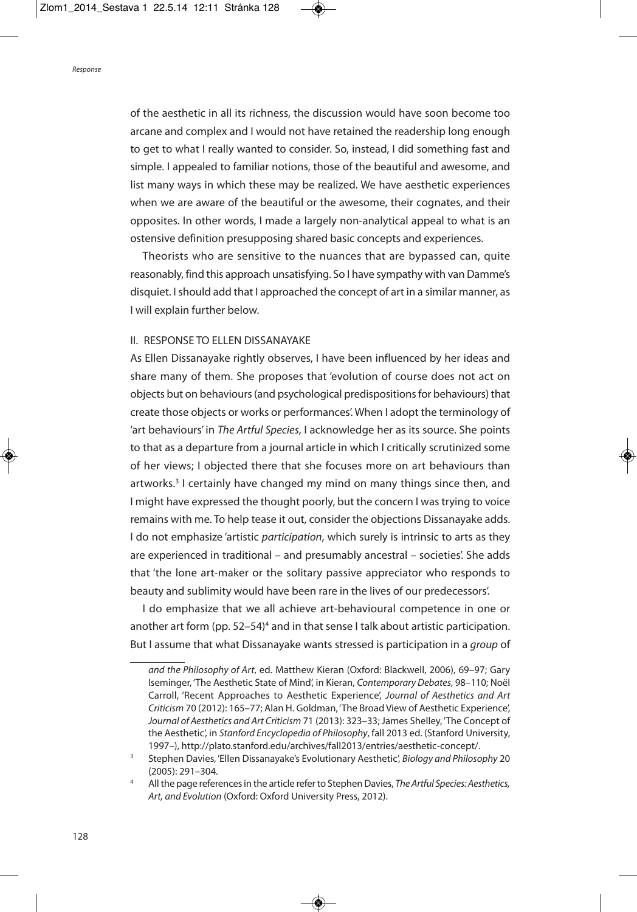of the aesthetic in all its richness, the discussion would have soon become too arcane and complex and I would not have retained the readership long enough to get to what I really wanted to consider. So, instead, I did something fast and simple. I appealed to familiar notions, those of the beautiful and awesome, and list many ways in which these may be realized. We have aesthetic experiences when we are aware of the beautiful or the awesome, their cognates, and their opposites. In other words, I made a largely non-analytical appeal to what is an ostensive definition presupposing shared basic concepts and experiences.

Theorists who are sensitive to the nuances that are bypassed can, quite reasonably, find this approach unsatisfying. So I have sympathy with van Damme's disquiet. Ishould add that I approached the concept of art in a similar manner, as I will explain further below.

## II. RESPONSE TO ELLEN DISSANAYAKE

As Ellen Dissanayake rightly observes, I have been influenced by her ideas and share many of them. She proposes that 'evolution of course does not act on objects but on behaviours(and psychological predispositionsfor behaviours) that create those objects or works or performances'. When I adopt the terminology of 'art behaviours' in The Artful Species, I acknowledge her as its source. She points to that as a departure from a journal article in which I critically scrutinized some of her views; I objected there that she focuses more on art behaviours than artworks. <sup>3</sup> I certainly have changed my mind on many things since then, and I might have expressed the thought poorly, but the concern I was trying to voice remains with me. To help tease it out, consider the objections Dissanayake adds. I do not emphasize 'artistic participation, which surely is intrinsic to arts as they are experienced in traditional – and presumably ancestral – societies'. She adds that 'the lone art-maker or the solitary passive appreciator who responds to beauty and sublimity would have been rare in the lives of our predecessors'.

I do emphasize that we all achieve art-behavioural competence in one or another art form (pp. 52–54)<sup>4</sup> and in that sense I talk about artistic participation. But I assume that what Dissanayake wants stressed is participation in a *group* of

and the Philosophy of Art, ed. Matthew Kieran (Oxford: Blackwell, 2006), 69–97; Gary Iseminger, 'The Aesthetic State of Mind', in Kieran, Contemporary Debates, 98–110; Noël Carroll, 'Recent Approaches to Aesthetic Experience', Journal of Aesthetics and Art Criticism 70 (2012): 165–77; Alan H. Goldman, 'The Broad View of Aesthetic Experience', Journal of Aesthetics and Art Criticism 71 (2013): 323–33; James Shelley, 'The Concept of the Aesthetic', in Stanford Encyclopedia of Philosophy, fall 2013 ed. (Stanford University, 1997–), http://plato.stanford.edu/archives/fall2013/entries/aesthetic-concept/.

<sup>&</sup>lt;sup>3</sup> Stephen Davies, 'Ellen Dissanayake's Evolutionary Aesthetic', Biology and Philosophy 20 (2005): 291–304.

<sup>4</sup> All the page references in the article refer to Stephen Davies, The Artful Species: Aesthetics, Art, and Evolution (Oxford: Oxford University Press, 2012).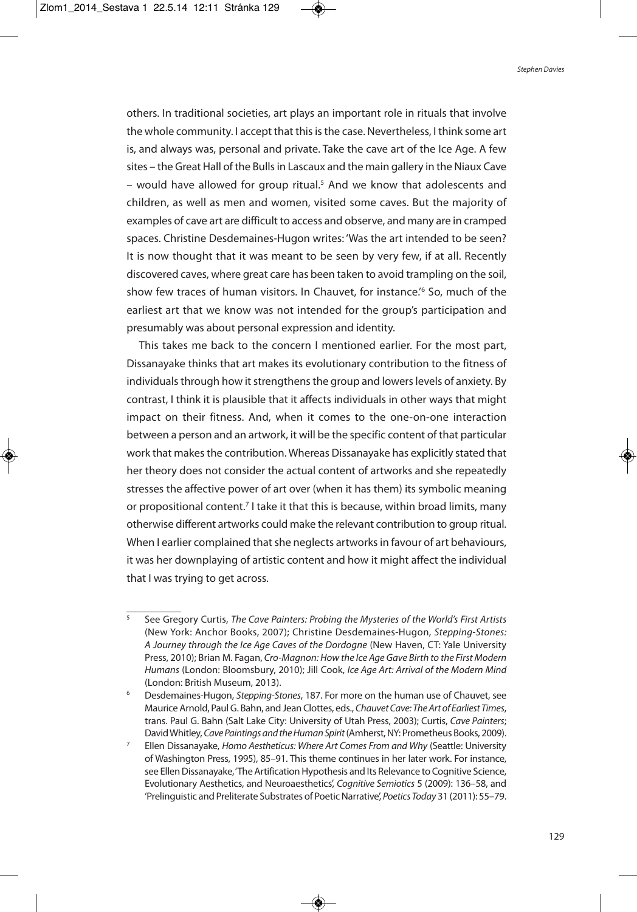others. In traditional societies, art plays an important role in rituals that involve the whole community. I accept that this is the case. Nevertheless, I think some art is, and always was, personal and private. Take the cave art of the Ice Age. A few sites - the Great Hall of the Bulls in Lascaux and the main gallery in the Niaux Cave – would have allowed for group ritual. <sup>5</sup> And we know that adolescents and children, as well as men and women, visited some caves. But the majority of examples of cave art are difficult to access and observe, and many are in cramped spaces. Christine Desdemaines-Hugon writes: 'Was the art intended to be seen? It is now thought that it was meant to be seen by very few, if at all. Recently discovered caves, where great care has been taken to avoid trampling on the soil, show few traces of human visitors. In Chauvet, for instance.' <sup>6</sup> So, much of the earliest art that we know was not intended for the group's participation and presumably was about personal expression and identity.

This takes me back to the concern I mentioned earlier. For the most part, Dissanayake thinks that art makes its evolutionary contribution to the fitness of individuals through how it strengthens the group and lowers levels of anxiety. By contrast, I think it is plausible that it affects individuals in other ways that might impact on their fitness. And, when it comes to the one-on-one interaction between a person and an artwork, it will be the specific content of that particular work that makes the contribution. Whereas Dissanayake has explicitly stated that her theory does not consider the actual content of artworks and she repeatedly stresses the affective power of art over (when it has them) its symbolic meaning or propositional content.<sup>7</sup> I take it that this is because, within broad limits, many otherwise different artworks could make the relevant contribution to group ritual. When I earlier complained that she neglects artworks in favour of art behaviours, it was her downplaying of artistic content and how it might affect the individual that I was trying to get across.

<sup>5</sup> See Gregory Curtis, The Cave Painters: Probing the Mysteries of the World's First Artists (New York: Anchor Books, 2007); Christine Desdemaines-Hugon, Stepping-Stones: A Journey through the Ice Age Caves of the Dordogne (New Haven, CT: Yale University Press, 2010); Brian M. Fagan, Cro-Magnon: How the Ice Age Gave Birth to the First Modern Humans (London: Bloomsbury, 2010); Jill Cook, Ice Age Art: Arrival of the Modern Mind (London: British Museum, 2013).

Desdemaines-Hugon, Stepping-Stones, 187. For more on the human use of Chauvet, see Maurice Arnold, Paul G. Bahn, and Jean Clottes, eds., Chauvet Cave: The Art of Earliest Times, trans. Paul G. Bahn (Salt Lake City: University of Utah Press, 2003); Curtis, Cave Painters; David Whitley, Cave Paintings and the Human Spirit (Amherst, NY: Prometheus Books, 2009).

Ellen Dissanayake, Homo Aestheticus: Where Art Comes From and Why (Seattle: University of Washington Press, 1995), 85–91. This theme continues in her later work. For instance, see Ellen Dissanayake, 'The Artification Hypothesis and Its Relevance to Cognitive Science, Evolutionary Aesthetics, and Neuroaesthetics', Cognitive Semiotics 5 (2009): 136–58, and 'Prelinguistic and Preliterate Substrates of Poetic Narrative', Poetics Today 31 (2011): 55-79.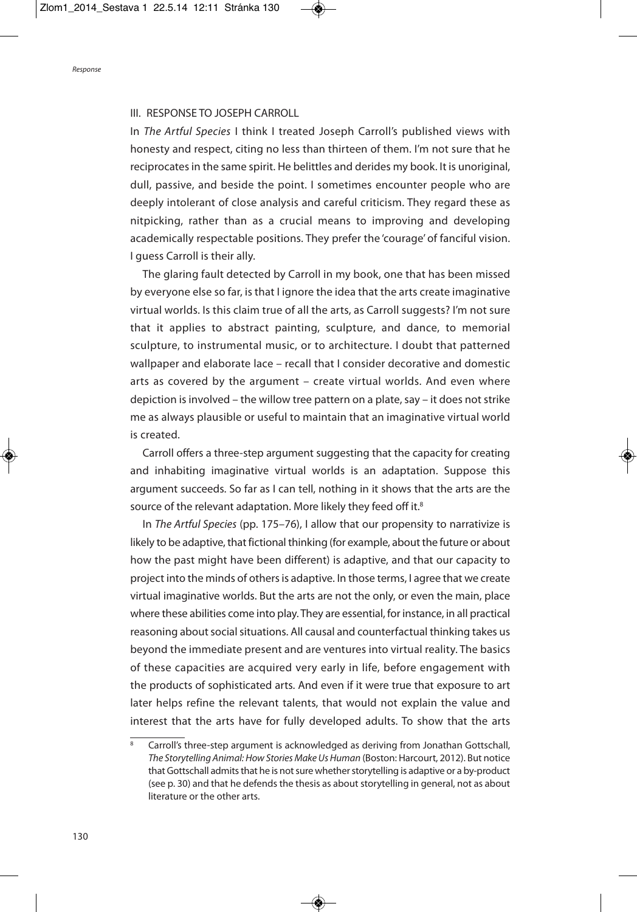### III. RESPONSE TO JOSEPH CARROLL

In The Artful Species I think I treated Joseph Carroll's published views with honesty and respect, citing no less than thirteen of them. I'm not sure that he reciprocates in the same spirit. He belittles and derides my book. It is unoriginal, dull, passive, and beside the point. I sometimes encounter people who are deeply intolerant of close analysis and careful criticism. They regard these as nitpicking, rather than as a crucial means to improving and developing academically respectable positions. They prefer the 'courage' of fanciful vision. I guess Carroll is their ally.

The glaring fault detected by Carroll in my book, one that has been missed by everyone else so far, is that I ignore the idea that the arts create imaginative virtual worlds. Is this claim true of all the arts, as Carroll suggests? I'm not sure that it applies to abstract painting, sculpture, and dance, to memorial sculpture, to instrumental music, or to architecture. I doubt that patterned wallpaper and elaborate lace – recall that I consider decorative and domestic arts as covered by the argument – create virtual worlds. And even where depiction is involved – the willow tree pattern on a plate, say – it does not strike me as always plausible or useful to maintain that an imaginative virtual world is created.

Carroll offers a three-step argument suggesting that the capacity for creating and inhabiting imaginative virtual worlds is an adaptation. Suppose this argument succeeds. So far as I can tell, nothing in it shows that the arts are the source of the relevant adaptation. More likely they feed off it.<sup>8</sup>

In The Artful Species (pp. 175–76), I allow that our propensity to narrativize is likely to be adaptive, that fictional thinking (for example, about the future or about how the past might have been different) is adaptive, and that our capacity to project into the minds of othersis adaptive. In those terms, I agree that we create virtual imaginative worlds. But the arts are not the only, or even the main, place where these abilities come into play. They are essential, for instance, in all practical reasoning about social situations. All causal and counterfactual thinking takes us beyond the immediate present and are ventures into virtual reality. The basics of these capacities are acquired very early in life, before engagement with the products of sophisticated arts. And even if it were true that exposure to art later helps refine the relevant talents, that would not explain the value and interest that the arts have for fully developed adults. To show that the arts

Carroll's three-step argument is acknowledged as deriving from Jonathan Gottschall, The Storytelling Animal: How Stories Make Us Human (Boston: Harcourt, 2012). But notice that Gottschall admits that he is not sure whether storytelling is adaptive or a by-product (see p. 30) and that he defends the thesis as about storytelling in general, not as about literature or the other arts.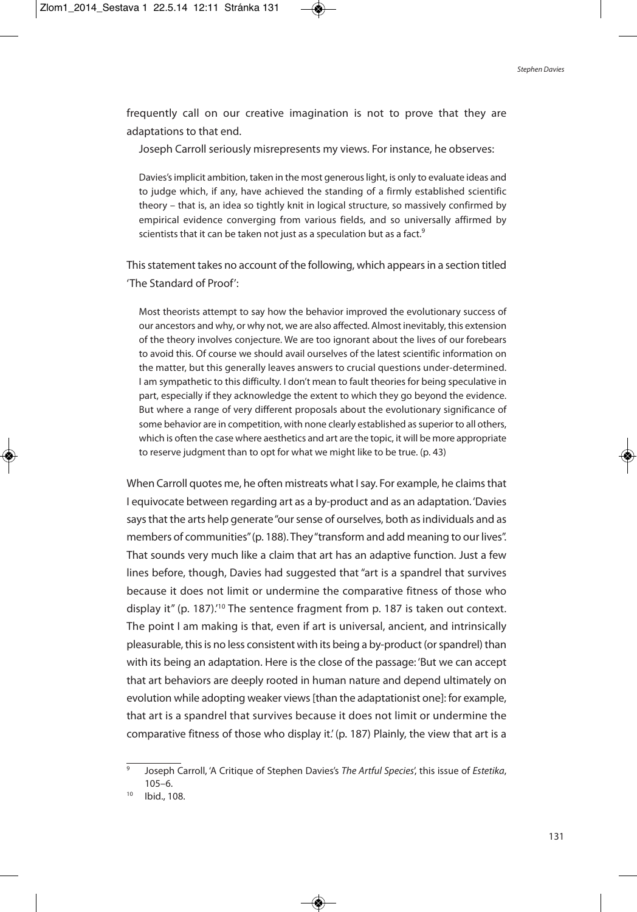frequently call on our creative imagination is not to prove that they are adaptations to that end.

Joseph Carroll seriously misrepresents my views. For instance, he observes:

Davies'simplicit ambition, taken in the most generouslight, is only to evaluate ideas and to judge which, if any, have achieved the standing of a firmly established scientific theory – that is, an idea so tightly knit in logical structure, so massively confirmed by empirical evidence converging from various fields, and so universally affirmed by scientists that it can be taken not just as a speculation but as a fact.<sup>9</sup>

This statement takes no account of the following, which appears in a section titled 'The Standard of Proof':

Most theorists attempt to say how the behavior improved the evolutionary success of our ancestors and why, or why not, we are also affected. Almost inevitably, this extension of the theory involves conjecture. We are too ignorant about the lives of our forebears to avoid this. Of course we should avail ourselves of the latest scientific information on the matter, but this generally leaves answers to crucial questions under-determined. I am sympathetic to this difficulty. I don't mean to fault theories for being speculative in part, especially if they acknowledge the extent to which they go beyond the evidence. But where a range of very different proposals about the evolutionary significance of some behavior are in competition, with none clearly established as superior to all others, which is often the case where aesthetics and art are the topic, it will be more appropriate to reserve judgment than to opt for what we might like to be true. (p. 43)

When Carroll quotes me, he often mistreats what I say. For example, he claims that I equivocate between regarding art as a by-product and as an adaptation. 'Davies says that the arts help generate "our sense of ourselves, both as individuals and as members of communities"(p. 188). They"transform and add meaning to our lives". That sounds very much like a claim that art has an adaptive function. Just a few lines before, though, Davies had suggested that "art is a spandrel that survives because it does not limit or undermine the comparative fitness of those who display it" (p. 187).<sup>10</sup> The sentence fragment from p. 187 is taken out context. The point I am making is that, even if art is universal, ancient, and intrinsically pleasurable, thisis no less consistent with its being a by-product (orspandrel) than with its being an adaptation. Here is the close of the passage: 'But we can accept that art behaviors are deeply rooted in human nature and depend ultimately on evolution while adopting weaker views [than the adaptationist one]: for example, that art is a spandrel that survives because it does not limit or undermine the comparative fitness of those who display it.' (p. 187) Plainly, the view that art is a

Joseph Carroll, 'A Critique of Stephen Davies's The Artful Species', this issue of Estetika, 105–6.

<sup>10</sup> Ibid., 108.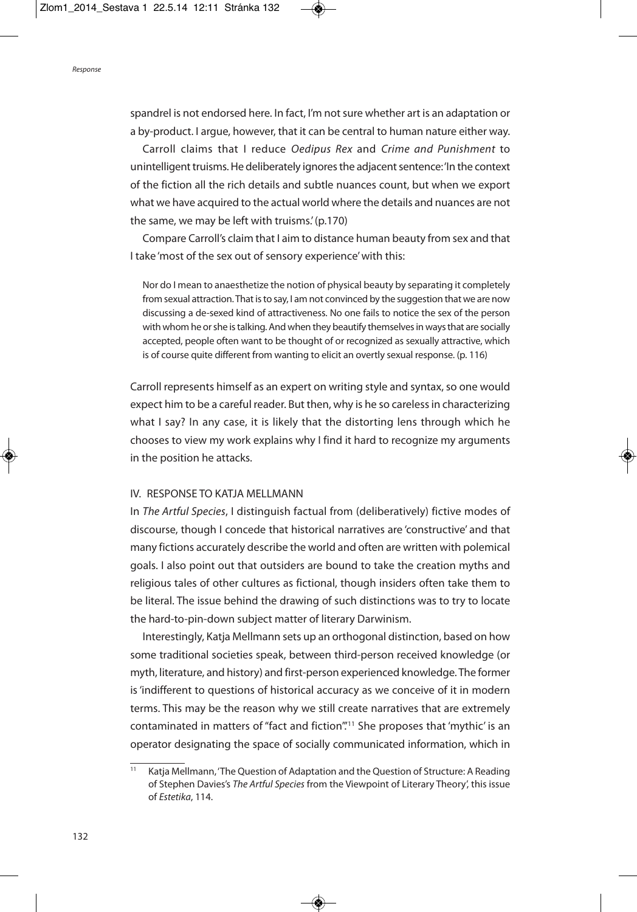spandrel is not endorsed here. In fact, I'm not sure whether art is an adaptation or a by-product. I argue, however, that it can be central to human nature either way.

Carroll claims that I reduce Oedipus Rex and Crime and Punishment to unintelligent truisms. He deliberately ignores the adjacent sentence: 'In the context of the fiction all the rich details and subtle nuances count, but when we export what we have acquired to the actual world where the details and nuances are not the same, we may be left with truisms.'(p.170)

Compare Carroll's claim that I aim to distance human beauty from sex and that I take 'most of the sex out of sensory experience'with this:

Nor do I mean to anaesthetize the notion of physical beauty by separating it completely from sexual attraction. That is to say, I am not convinced by the suggestion that we are now discussing a de-sexed kind of attractiveness. No one fails to notice the sex of the person with whom he or she is talking. And when they beautify themselves in ways that are socially accepted, people often want to be thought of or recognized as sexually attractive, which is of course quite different from wanting to elicit an overtly sexual response. (p. 116)

Carroll represents himself as an expert on writing style and syntax, so one would expect him to be a careful reader. But then, why is he so carelessin characterizing what I say? In any case, it is likely that the distorting lens through which he chooses to view my work explains why I find it hard to recognize my arguments in the position he attacks.

## IV. RESPONSE TO KATJA MELLMANN

In The Artful Species, I distinguish factual from (deliberatively) fictive modes of discourse, though I concede that historical narratives are 'constructive' and that many fictions accurately describe the world and often are written with polemical goals. I also point out that outsiders are bound to take the creation myths and religious tales of other cultures as fictional, though insiders often take them to be literal. The issue behind the drawing of such distinctions was to try to locate the hard-to-pin-down subject matter of literary Darwinism.

Interestingly, Katja Mellmann sets up an orthogonal distinction, based on how some traditional societies speak, between third-person received knowledge (or myth, literature, and history) and first-person experienced knowledge. The former is'indifferent to questions of historical accuracy as we conceive of it in modern terms. This may be the reason why we still create narratives that are extremely contaminated in matters of "fact and fiction".' <sup>11</sup> She proposes that 'mythic' is an operator designating the space of socially communicated information, which in

Katja Mellmann, 'The Question of Adaptation and the Question of Structure: A Reading of Stephen Davies's The Artful Species from the Viewpoint of Literary Theory', this issue of Estetika, 114.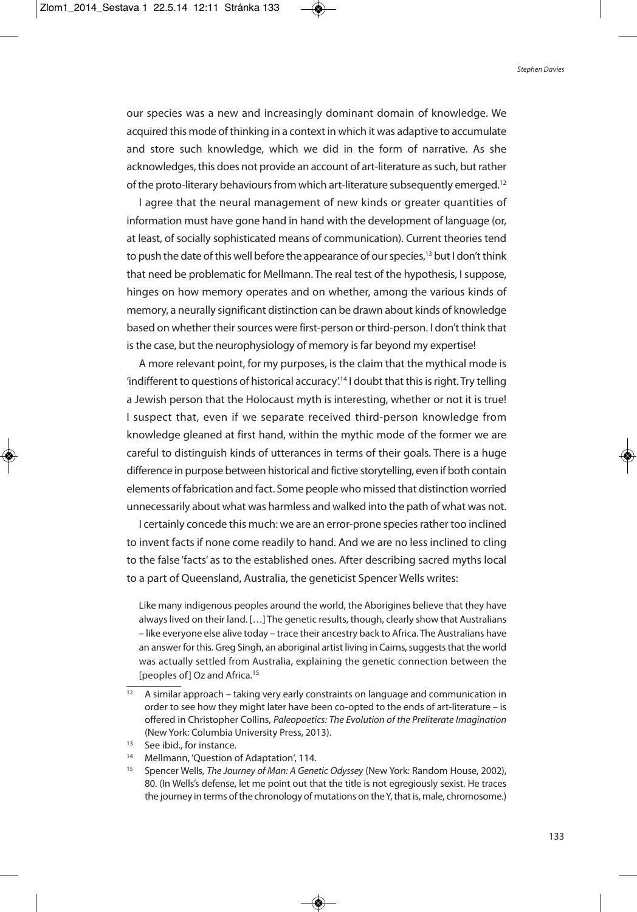our species was a new and increasingly dominant domain of knowledge. We acquired this mode of thinking in a context in which it was adaptive to accumulate and store such knowledge, which we did in the form of narrative. As she acknowledges, this does not provide an account of art-literature as such, but rather of the proto-literary behaviours from which art-literature subsequently emerged.<sup>12</sup>

I agree that the neural management of new kinds or greater quantities of information must have gone hand in hand with the development of language (or, at least, of socially sophisticated means of communication). Current theories tend to push the date of this well before the appearance of our species,<sup>13</sup> but I don't think that need be problematic for Mellmann. The real test of the hypothesis, I suppose, hinges on how memory operates and on whether, among the various kinds of memory, a neurally significant distinction can be drawn about kinds of knowledge based on whether their sources were first-person or third-person. I don't think that is the case, but the neurophysiology of memory is far beyond my expertise!

A more relevant point, for my purposes, is the claim that the mythical mode is 'indifferent to questions of historical accuracy'.<sup>14</sup> I doubt that this is right. Try telling a Jewish person that the Holocaust myth is interesting, whether or not it is true! I suspect that, even if we separate received third-person knowledge from knowledge gleaned at first hand, within the mythic mode of the former we are careful to distinguish kinds of utterances in terms of their goals. There is a huge difference in purpose between historical and fictive storytelling, even if both contain elements of fabrication and fact. Some people who missed that distinction worried unnecessarily about what was harmless and walked into the path of what was not.

I certainly concede this much: we are an error-prone species rather too inclined to invent facts if none come readily to hand. And we are no less inclined to cling to the false 'facts' as to the established ones. After describing sacred myths local to a part of Queensland, Australia, the geneticist Spencer Wells writes:

Like many indigenous peoples around the world, the Aborigines believe that they have always lived on their land. [...] The genetic results, though, clearly show that Australians – like everyone else alive today – trace their ancestry back to Africa. The Australians have an answer for this. Greg Singh, an aboriginal artist living in Cairns, suggests that the world was actually settled from Australia, explaining the genetic connection between the [peoples of] Oz and Africa.<sup>15</sup>

 $12$  A similar approach – taking very early constraints on language and communication in order to see how they might later have been co-opted to the ends of art-literature – is offered in Christopher Collins, Paleopoetics: The Evolution of the Preliterate Imagination (New York: Columbia University Press, 2013).

<sup>&</sup>lt;sup>13</sup> See ibid., for instance.

<sup>14</sup> Mellmann, 'Question of Adaptation', 114.

<sup>&</sup>lt;sup>15</sup> Spencer Wells, The Journey of Man: A Genetic Odyssey (New York: Random House, 2002), 80. (In Wells's defense, let me point out that the title is not egregiously sexist. He traces the journey in terms of the chronology of mutations on the Y, that is, male, chromosome.)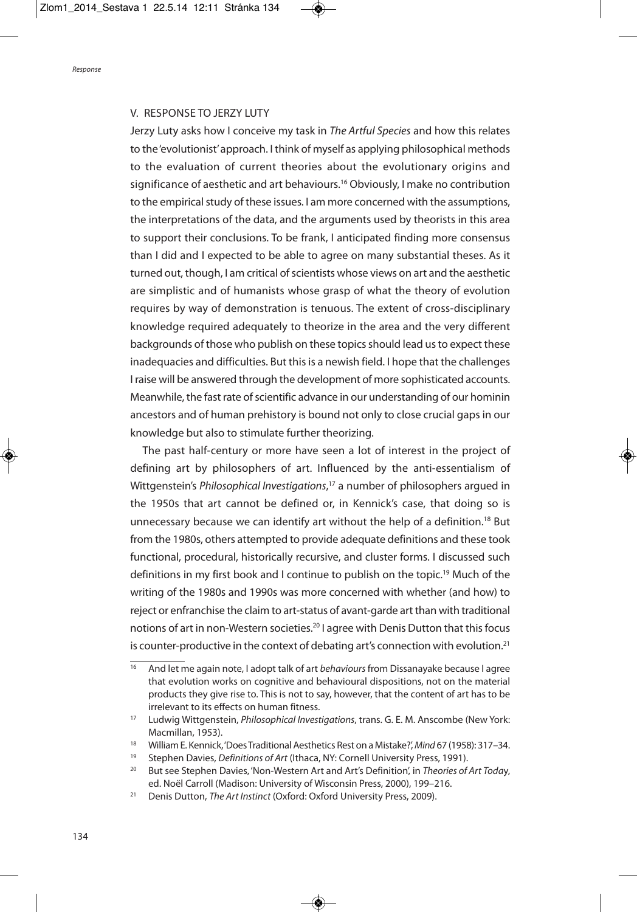## V. RESPONSE TO JERZY LUTY

Jerzy Luty asks how I conceive my task in The Artful Species and how this relates to the'evolutionist'approach. I think of myself as applying philosophical methods to the evaluation of current theories about the evolutionary origins and significance of aesthetic and art behaviours. <sup>16</sup> Obviously, I make no contribution to the empirical study of these issues. I am more concerned with the assumptions, the interpretations of the data, and the arguments used by theorists in this area to support their conclusions. To be frank, I anticipated finding more consensus than I did and I expected to be able to agree on many substantial theses. As it turned out, though, I am critical of scientists whose views on art and the aesthetic are simplistic and of humanists whose grasp of what the theory of evolution requires by way of demonstration is tenuous. The extent of cross-disciplinary knowledge required adequately to theorize in the area and the very different backgrounds of those who publish on these topics should lead us to expect these inadequacies and difficulties. But this is a newish field. I hope that the challenges I raise will be answered through the development of more sophisticated accounts. Meanwhile, the fast rate of scientific advance in our understanding of our hominin ancestors and of human prehistory is bound not only to close crucial gaps in our knowledge but also to stimulate further theorizing.

The past half-century or more have seen a lot of interest in the project of defining art by philosophers of art. Influenced by the anti-essentialism of Wittgenstein's Philosophical Investigations,<sup>17</sup> a number of philosophers argued in the 1950s that art cannot be defined or, in Kennick's case, that doing so is unnecessary because we can identify art without the help of a definition.<sup>18</sup> But from the 1980s, others attempted to provide adequate definitions and these took functional, procedural, historically recursive, and cluster forms. I discussed such definitions in my first book and I continue to publish on the topic. <sup>19</sup> Much of the writing of the 1980s and 1990s was more concerned with whether (and how) to reject or enfranchise the claim to art-status of avant-garde art than with traditional notions of art in non-Western societies. <sup>20</sup> I agree with Denis Dutton that thisfocus is counter-productive in the context of debating art's connection with evolution.<sup>21</sup>

 $\frac{16}{16}$  And let me again note, I adopt talk of art behaviours from Dissanayake because I agree that evolution works on cognitive and behavioural dispositions, not on the material products they give rise to. This is not to say, however, that the content of art has to be irrelevant to its effects on human fitness.

<sup>&</sup>lt;sup>17</sup> Ludwig Wittgenstein, *Philosophical Investigations*, trans. G. E. M. Anscombe (New York: Macmillan, 1953).

<sup>&</sup>lt;sup>18</sup> William E. Kennick, 'Does Traditional Aesthetics Rest on a Mistake?', Mind 67 (1958): 317-34.

<sup>&</sup>lt;sup>19</sup> Stephen Davies, *Definitions of Art* (Ithaca, NY: Cornell University Press, 1991).

<sup>&</sup>lt;sup>20</sup> But see Stephen Davies, 'Non-Western Art and Art's Definition', in Theories of Art Today, ed. Noël Carroll (Madison: University of Wisconsin Press, 2000), 199–216.

<sup>&</sup>lt;sup>21</sup> Denis Dutton, The Art Instinct (Oxford: Oxford University Press, 2009).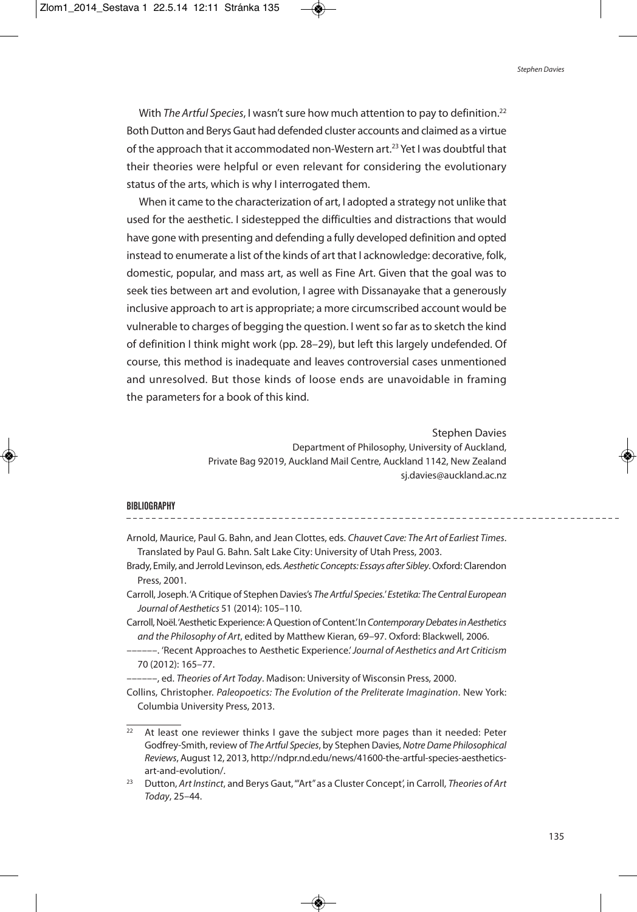With *The Artful Species,* I wasn't sure how much attention to pay to definition.<sup>22</sup> BothDutton and BerysGaut had defended cluster accounts and claimed as a virtue of the approach that it accommodated non-Western art. <sup>23</sup> Yet I was doubtful that their theories were helpful or even relevant for considering the evolutionary status of the arts, which is why I interrogated them.

When it came to the characterization of art, I adopted a strategy not unlike that used for the aesthetic. I sidestepped the difficulties and distractions that would have gone with presenting and defending a fully developed definition and opted instead to enumerate a list of the kinds of art that I acknowledge: decorative, folk, domestic, popular, and mass art, as well as Fine Art. Given that the goal was to seek ties between art and evolution, I agree with Dissanayake that a generously inclusive approach to art is appropriate; a more circumscribed account would be vulnerable to charges of begging the question. I went so far as to sketch the kind of definition I think might work (pp. 28–29), but left this largely undefended. Of course, this method is inadequate and leaves controversial cases unmentioned and unresolved. But those kinds of loose ends are unavoidable in framing the parameters for a book of this kind.

> Stephen Davies Department of Philosophy, University of Auckland, Private Bag 92019, Auckland Mail Centre, Auckland 1142, New Zealand sj.davies@auckland.ac.nz

#### **BIBLIOGRAPHY**

- Arnold, Maurice, Paul G. Bahn, and Jean Clottes, eds. Chauvet Cave: The Art of Earliest Times. Translated by Paul G. Bahn. Salt Lake City: University of Utah Press, 2003.
- Brady, Emily, and Jerrold Levinson, eds. Aesthetic Concepts: Essays after Sibley. Oxford: Clarendon Press, 2001.
- Carroll, Joseph.'A Critique of Stephen Davies's The Artful Species.' Estetika: The Central European Journal of Aesthetics 51 (2014): 105–110.
- Carroll, Noël. 'Aesthetic Experience: A Question of Content.' In Contemporary Debates in Aesthetics and the Philosophy of Art, edited by Matthew Kieran, 69–97. Oxford: Blackwell, 2006.
- ---. 'Recent Approaches to Aesthetic Experience'. Journal of Aesthetics and Art Criticism 70 (2012): 165–77.

-----, ed. Theories of Art Today. Madison: University of Wisconsin Press, 2000.

Collins, Christopher. Paleopoetics: The Evolution of the Preliterate Imagination. New York: Columbia University Press, 2013.

 $22$  At least one reviewer thinks I gave the subject more pages than it needed: Peter Godfrey-Smith, review of The Artful Species, by Stephen Davies, Notre Dame Philosophical Reviews, August 12, 2013, http://ndpr.nd.edu/news/41600-the-artful-species-aestheticsart-and-evolution/.

<sup>&</sup>lt;sup>23</sup> Dutton, Art Instinct, and Berys Gaut, "Art" as a Cluster Concept', in Carroll, Theories of Art Today, 25–44.